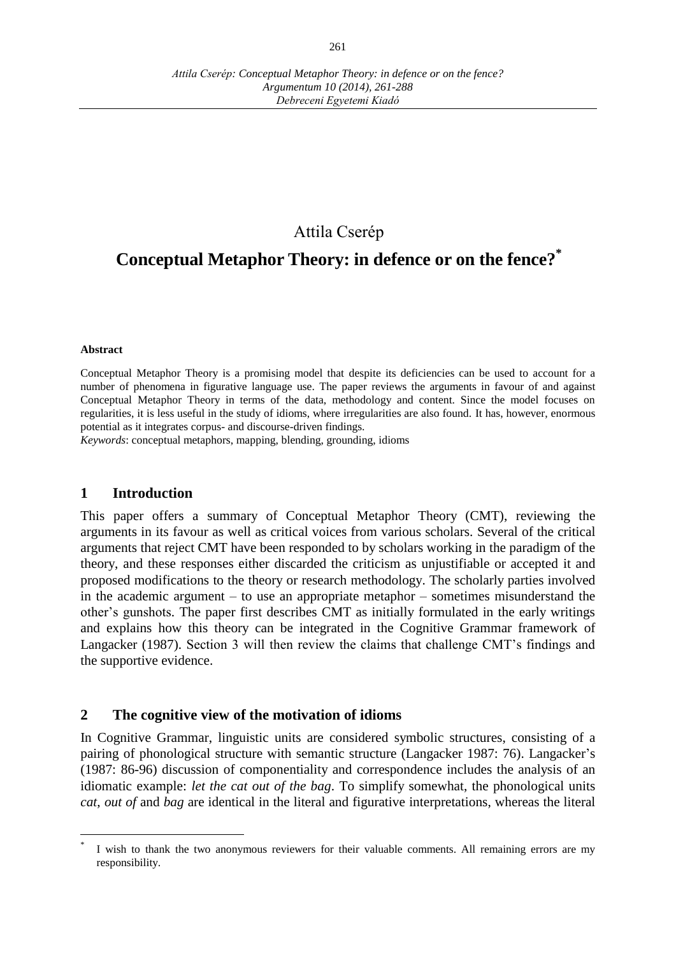# Attila Cserép

# **Conceptual Metaphor Theory: in defence or on the fence?\***

#### **Abstract**

 $\overline{a}$ 

Conceptual Metaphor Theory is a promising model that despite its deficiencies can be used to account for a number of phenomena in figurative language use. The paper reviews the arguments in favour of and against Conceptual Metaphor Theory in terms of the data, methodology and content. Since the model focuses on regularities, it is less useful in the study of idioms, where irregularities are also found. It has, however, enormous potential as it integrates corpus- and discourse-driven findings.

*Keywords*: conceptual metaphors, mapping, blending, grounding, idioms

### **1 Introduction**

This paper offers a summary of Conceptual Metaphor Theory (CMT), reviewing the arguments in its favour as well as critical voices from various scholars. Several of the critical arguments that reject CMT have been responded to by scholars working in the paradigm of the theory, and these responses either discarded the criticism as unjustifiable or accepted it and proposed modifications to the theory or research methodology. The scholarly parties involved in the academic argument  $-$  to use an appropriate metaphor  $-$  sometimes misunderstand the other's gunshots. The paper first describes CMT as initially formulated in the early writings and explains how this theory can be integrated in the Cognitive Grammar framework of Langacker (1987). Section 3 will then review the claims that challenge CMT's findings and the supportive evidence.

### **2 The cognitive view of the motivation of idioms**

In Cognitive Grammar, linguistic units are considered symbolic structures, consisting of a pairing of phonological structure with semantic structure (Langacker 1987: 76). Langacker's (1987: 86-96) discussion of componentiality and correspondence includes the analysis of an idiomatic example: *let the cat out of the bag*. To simplify somewhat, the phonological units *cat*, *out of* and *bag* are identical in the literal and figurative interpretations, whereas the literal

<sup>\*</sup> I wish to thank the two anonymous reviewers for their valuable comments. All remaining errors are my responsibility.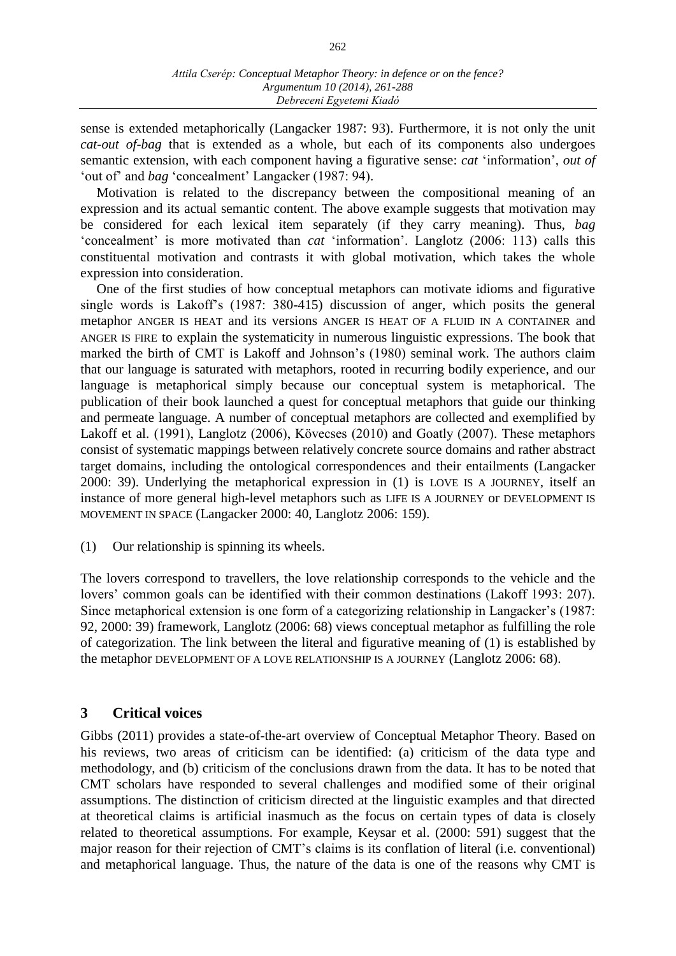sense is extended metaphorically (Langacker 1987: 93). Furthermore, it is not only the unit *cat-out of-bag* that is extended as a whole, but each of its components also undergoes semantic extension, with each component having a figurative sense: *cat* 'information', *out of* 'out of' and *bag* 'concealment' Langacker (1987: 94).

Motivation is related to the discrepancy between the compositional meaning of an expression and its actual semantic content. The above example suggests that motivation may be considered for each lexical item separately (if they carry meaning). Thus, *bag* 'concealment' is more motivated than *cat* 'information'. Langlotz (2006: 113) calls this constituental motivation and contrasts it with global motivation, which takes the whole expression into consideration.

One of the first studies of how conceptual metaphors can motivate idioms and figurative single words is Lakoff's (1987: 380-415) discussion of anger, which posits the general metaphor ANGER IS HEAT and its versions ANGER IS HEAT OF A FLUID IN A CONTAINER and ANGER IS FIRE to explain the systematicity in numerous linguistic expressions. The book that marked the birth of CMT is Lakoff and Johnson's (1980) seminal work. The authors claim that our language is saturated with metaphors, rooted in recurring bodily experience, and our language is metaphorical simply because our conceptual system is metaphorical. The publication of their book launched a quest for conceptual metaphors that guide our thinking and permeate language. A number of conceptual metaphors are collected and exemplified by Lakoff et al. (1991), Langlotz (2006), Kövecses (2010) and Goatly (2007). These metaphors consist of systematic mappings between relatively concrete source domains and rather abstract target domains, including the ontological correspondences and their entailments (Langacker 2000: 39). Underlying the metaphorical expression in (1) is LOVE IS A JOURNEY, itself an instance of more general high-level metaphors such as LIFE IS A JOURNEY or DEVELOPMENT IS MOVEMENT IN SPACE (Langacker 2000: 40, Langlotz 2006: 159).

(1) Our relationship is spinning its wheels.

The lovers correspond to travellers, the love relationship corresponds to the vehicle and the lovers' common goals can be identified with their common destinations (Lakoff 1993: 207). Since metaphorical extension is one form of a categorizing relationship in Langacker's (1987: 92, 2000: 39) framework, Langlotz (2006: 68) views conceptual metaphor as fulfilling the role of categorization. The link between the literal and figurative meaning of (1) is established by the metaphor DEVELOPMENT OF A LOVE RELATIONSHIP IS A JOURNEY (Langlotz 2006: 68).

# **3 Critical voices**

Gibbs (2011) provides a state-of-the-art overview of Conceptual Metaphor Theory. Based on his reviews, two areas of criticism can be identified: (a) criticism of the data type and methodology, and (b) criticism of the conclusions drawn from the data. It has to be noted that CMT scholars have responded to several challenges and modified some of their original assumptions. The distinction of criticism directed at the linguistic examples and that directed at theoretical claims is artificial inasmuch as the focus on certain types of data is closely related to theoretical assumptions. For example, Keysar et al. (2000: 591) suggest that the major reason for their rejection of CMT's claims is its conflation of literal (i.e. conventional) and metaphorical language. Thus, the nature of the data is one of the reasons why CMT is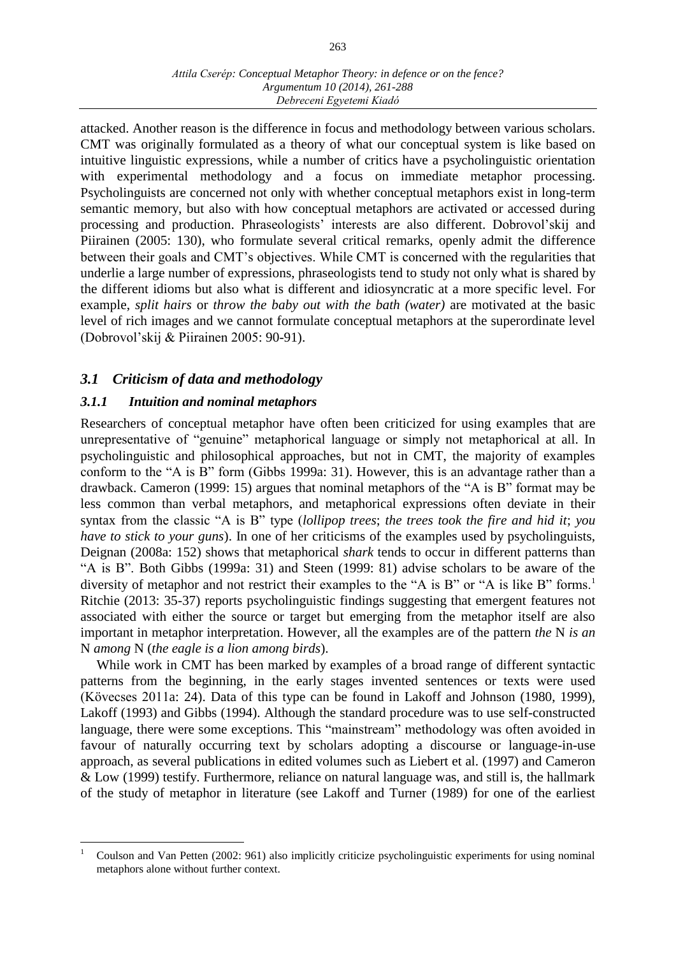attacked. Another reason is the difference in focus and methodology between various scholars. CMT was originally formulated as a theory of what our conceptual system is like based on intuitive linguistic expressions, while a number of critics have a psycholinguistic orientation with experimental methodology and a focus on immediate metaphor processing. Psycholinguists are concerned not only with whether conceptual metaphors exist in long-term semantic memory, but also with how conceptual metaphors are activated or accessed during processing and production. Phraseologists' interests are also different. Dobrovol'skij and Piirainen (2005: 130), who formulate several critical remarks, openly admit the difference between their goals and CMT's objectives. While CMT is concerned with the regularities that underlie a large number of expressions, phraseologists tend to study not only what is shared by the different idioms but also what is different and idiosyncratic at a more specific level. For example, *split hairs* or *throw the baby out with the bath (water)* are motivated at the basic level of rich images and we cannot formulate conceptual metaphors at the superordinate level (Dobrovol'skij & Piirainen 2005: 90-91).

# *3.1 Criticism of data and methodology*

# *3.1.1 Intuition and nominal metaphors*

 $\overline{a}$ 

Researchers of conceptual metaphor have often been criticized for using examples that are unrepresentative of "genuine" metaphorical language or simply not metaphorical at all. In psycholinguistic and philosophical approaches, but not in CMT, the majority of examples conform to the "A is B" form (Gibbs 1999a: 31). However, this is an advantage rather than a drawback. Cameron (1999: 15) argues that nominal metaphors of the "A is B" format may be less common than verbal metaphors, and metaphorical expressions often deviate in their syntax from the classic "A is B" type (*lollipop trees*; *the trees took the fire and hid it*; *you have to stick to your guns*). In one of her criticisms of the examples used by psycholinguists, Deignan (2008a: 152) shows that metaphorical *shark* tends to occur in different patterns than "A is B". Both Gibbs (1999a: 31) and Steen (1999: 81) advise scholars to be aware of the diversity of metaphor and not restrict their examples to the "A is B" or "A is like B" forms.<sup>1</sup> Ritchie (2013: 35-37) reports psycholinguistic findings suggesting that emergent features not associated with either the source or target but emerging from the metaphor itself are also important in metaphor interpretation. However, all the examples are of the pattern *the* N *is an* N *among* N (*the eagle is a lion among birds*).

While work in CMT has been marked by examples of a broad range of different syntactic patterns from the beginning, in the early stages invented sentences or texts were used (Kövecses 2011a: 24). Data of this type can be found in Lakoff and Johnson (1980, 1999), Lakoff (1993) and Gibbs (1994). Although the standard procedure was to use self-constructed language, there were some exceptions. This "mainstream" methodology was often avoided in favour of naturally occurring text by scholars adopting a discourse or language-in-use approach, as several publications in edited volumes such as Liebert et al. (1997) and Cameron & Low (1999) testify. Furthermore, reliance on natural language was, and still is, the hallmark of the study of metaphor in literature (see Lakoff and Turner (1989) for one of the earliest

<sup>1</sup> Coulson and Van Petten (2002: 961) also implicitly criticize psycholinguistic experiments for using nominal metaphors alone without further context.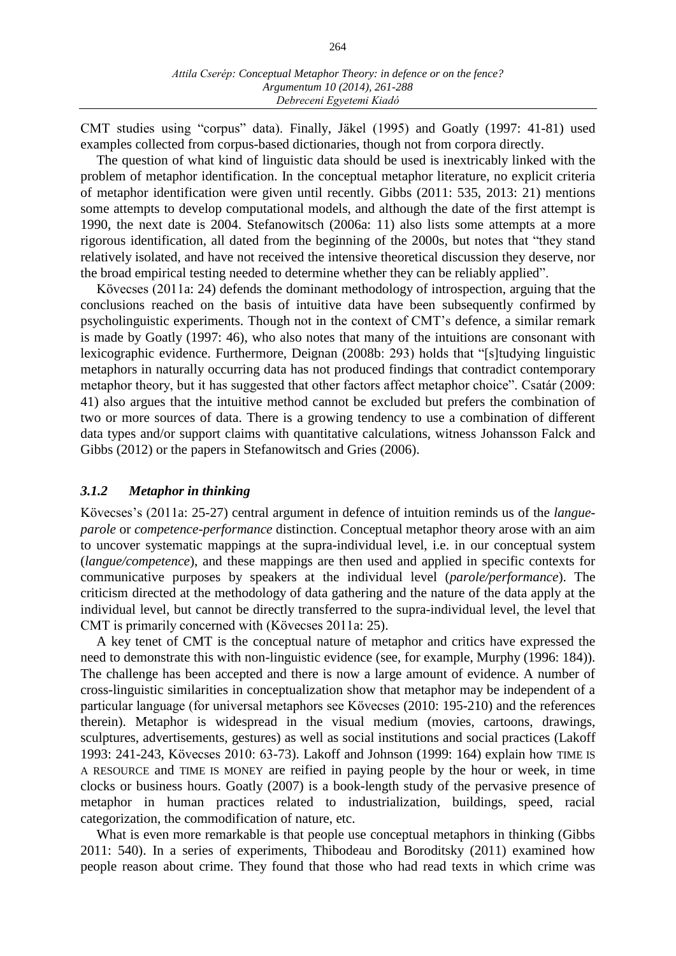CMT studies using "corpus" data). Finally, Jäkel (1995) and Goatly (1997: 41-81) used examples collected from corpus-based dictionaries, though not from corpora directly.

The question of what kind of linguistic data should be used is inextricably linked with the problem of metaphor identification. In the conceptual metaphor literature, no explicit criteria of metaphor identification were given until recently. Gibbs (2011: 535, 2013: 21) mentions some attempts to develop computational models, and although the date of the first attempt is 1990, the next date is 2004. Stefanowitsch (2006a: 11) also lists some attempts at a more rigorous identification, all dated from the beginning of the 2000s, but notes that "they stand relatively isolated, and have not received the intensive theoretical discussion they deserve, nor the broad empirical testing needed to determine whether they can be reliably applied".

Kövecses (2011a: 24) defends the dominant methodology of introspection, arguing that the conclusions reached on the basis of intuitive data have been subsequently confirmed by psycholinguistic experiments. Though not in the context of CMT's defence, a similar remark is made by Goatly (1997: 46), who also notes that many of the intuitions are consonant with lexicographic evidence. Furthermore, Deignan (2008b: 293) holds that "[s]tudying linguistic metaphors in naturally occurring data has not produced findings that contradict contemporary metaphor theory, but it has suggested that other factors affect metaphor choice". Csatár (2009: 41) also argues that the intuitive method cannot be excluded but prefers the combination of two or more sources of data. There is a growing tendency to use a combination of different data types and/or support claims with quantitative calculations, witness Johansson Falck and Gibbs (2012) or the papers in Stefanowitsch and Gries (2006).

### *3.1.2 Metaphor in thinking*

Kövecses's (2011a: 25-27) central argument in defence of intuition reminds us of the *langueparole* or *competence-performance* distinction. Conceptual metaphor theory arose with an aim to uncover systematic mappings at the supra-individual level, i.e. in our conceptual system (*langue/competence*), and these mappings are then used and applied in specific contexts for communicative purposes by speakers at the individual level (*parole/performance*). The criticism directed at the methodology of data gathering and the nature of the data apply at the individual level, but cannot be directly transferred to the supra-individual level, the level that CMT is primarily concerned with (Kövecses 2011a: 25).

A key tenet of CMT is the conceptual nature of metaphor and critics have expressed the need to demonstrate this with non-linguistic evidence (see, for example, Murphy (1996: 184)). The challenge has been accepted and there is now a large amount of evidence. A number of cross-linguistic similarities in conceptualization show that metaphor may be independent of a particular language (for universal metaphors see Kövecses (2010: 195-210) and the references therein). Metaphor is widespread in the visual medium (movies, cartoons, drawings, sculptures, advertisements, gestures) as well as social institutions and social practices (Lakoff 1993: 241-243, Kövecses 2010: 63-73). Lakoff and Johnson (1999: 164) explain how TIME IS A RESOURCE and TIME IS MONEY are reified in paying people by the hour or week, in time clocks or business hours. Goatly (2007) is a book-length study of the pervasive presence of metaphor in human practices related to industrialization, buildings, speed, racial categorization, the commodification of nature, etc.

What is even more remarkable is that people use conceptual metaphors in thinking (Gibbs 2011: 540). In a series of experiments, Thibodeau and Boroditsky (2011) examined how people reason about crime. They found that those who had read texts in which crime was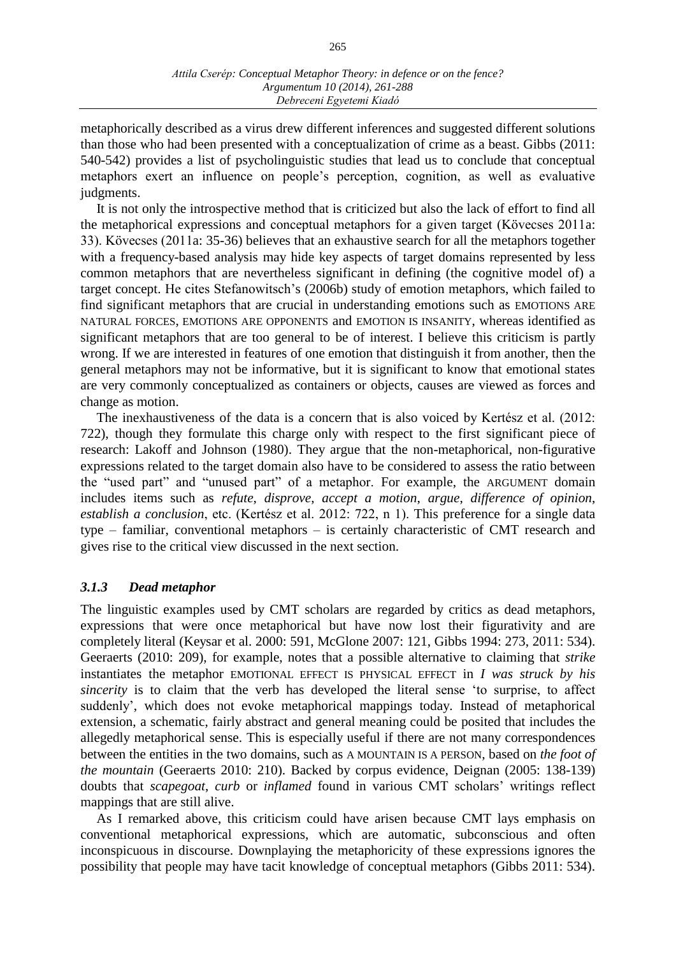metaphorically described as a virus drew different inferences and suggested different solutions than those who had been presented with a conceptualization of crime as a beast. Gibbs (2011: 540-542) provides a list of psycholinguistic studies that lead us to conclude that conceptual metaphors exert an influence on people's perception, cognition, as well as evaluative judgments.

It is not only the introspective method that is criticized but also the lack of effort to find all the metaphorical expressions and conceptual metaphors for a given target (Kövecses 2011a: 33). Kövecses (2011a: 35-36) believes that an exhaustive search for all the metaphors together with a frequency-based analysis may hide key aspects of target domains represented by less common metaphors that are nevertheless significant in defining (the cognitive model of) a target concept. He cites Stefanowitsch's (2006b) study of emotion metaphors, which failed to find significant metaphors that are crucial in understanding emotions such as EMOTIONS ARE NATURAL FORCES, EMOTIONS ARE OPPONENTS and EMOTION IS INSANITY, whereas identified as significant metaphors that are too general to be of interest. I believe this criticism is partly wrong. If we are interested in features of one emotion that distinguish it from another, then the general metaphors may not be informative, but it is significant to know that emotional states are very commonly conceptualized as containers or objects, causes are viewed as forces and change as motion.

The inexhaustiveness of the data is a concern that is also voiced by Kertész et al. (2012: 722), though they formulate this charge only with respect to the first significant piece of research: Lakoff and Johnson (1980). They argue that the non-metaphorical, non-figurative expressions related to the target domain also have to be considered to assess the ratio between the "used part" and "unused part" of a metaphor. For example, the ARGUMENT domain includes items such as *refute*, *disprove*, *accept a motion*, *argue*, *difference of opinion*, *establish a conclusion*, etc. (Kertész et al. 2012: 722, n 1). This preference for a single data type – familiar, conventional metaphors – is certainly characteristic of CMT research and gives rise to the critical view discussed in the next section.

### *3.1.3 Dead metaphor*

The linguistic examples used by CMT scholars are regarded by critics as dead metaphors, expressions that were once metaphorical but have now lost their figurativity and are completely literal (Keysar et al. 2000: 591, McGlone 2007: 121, Gibbs 1994: 273, 2011: 534). Geeraerts (2010: 209), for example, notes that a possible alternative to claiming that *strike* instantiates the metaphor EMOTIONAL EFFECT IS PHYSICAL EFFECT in *I was struck by his sincerity* is to claim that the verb has developed the literal sense 'to surprise, to affect suddenly', which does not evoke metaphorical mappings today. Instead of metaphorical extension, a schematic, fairly abstract and general meaning could be posited that includes the allegedly metaphorical sense. This is especially useful if there are not many correspondences between the entities in the two domains, such as A MOUNTAIN IS A PERSON, based on *the foot of the mountain* (Geeraerts 2010: 210). Backed by corpus evidence, Deignan (2005: 138-139) doubts that *scapegoat*, *curb* or *inflamed* found in various CMT scholars' writings reflect mappings that are still alive.

As I remarked above, this criticism could have arisen because CMT lays emphasis on conventional metaphorical expressions, which are automatic, subconscious and often inconspicuous in discourse. Downplaying the metaphoricity of these expressions ignores the possibility that people may have tacit knowledge of conceptual metaphors (Gibbs 2011: 534).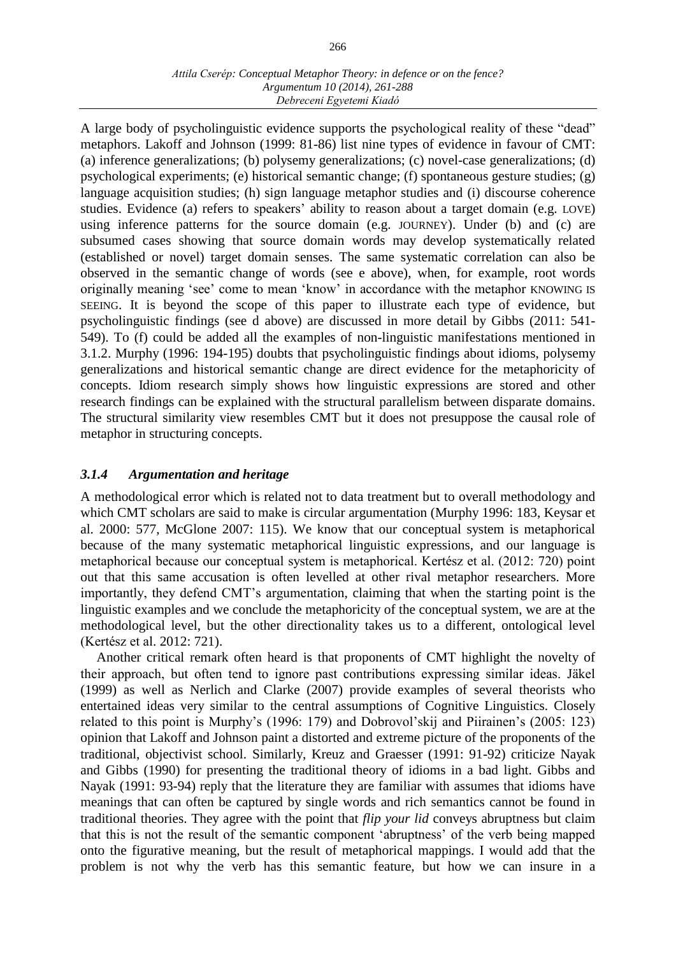### *Attila Cserép: Conceptual Metaphor Theory: in defence or on the fence? Argumentum 10 (2014), 261-288 Debreceni Egyetemi Kiadó*

A large body of psycholinguistic evidence supports the psychological reality of these "dead" metaphors. Lakoff and Johnson (1999: 81-86) list nine types of evidence in favour of CMT: (a) inference generalizations; (b) polysemy generalizations; (c) novel-case generalizations; (d) psychological experiments; (e) historical semantic change; (f) spontaneous gesture studies; (g) language acquisition studies; (h) sign language metaphor studies and (i) discourse coherence studies. Evidence (a) refers to speakers' ability to reason about a target domain (e.g. LOVE) using inference patterns for the source domain (e.g. JOURNEY). Under (b) and (c) are subsumed cases showing that source domain words may develop systematically related (established or novel) target domain senses. The same systematic correlation can also be observed in the semantic change of words (see e above), when, for example, root words originally meaning 'see' come to mean 'know' in accordance with the metaphor KNOWING IS SEEING. It is beyond the scope of this paper to illustrate each type of evidence, but psycholinguistic findings (see d above) are discussed in more detail by Gibbs (2011: 541- 549). To (f) could be added all the examples of non-linguistic manifestations mentioned in 3.1.2. Murphy (1996: 194-195) doubts that psycholinguistic findings about idioms, polysemy generalizations and historical semantic change are direct evidence for the metaphoricity of concepts. Idiom research simply shows how linguistic expressions are stored and other research findings can be explained with the structural parallelism between disparate domains. The structural similarity view resembles CMT but it does not presuppose the causal role of metaphor in structuring concepts.

# *3.1.4 Argumentation and heritage*

A methodological error which is related not to data treatment but to overall methodology and which CMT scholars are said to make is circular argumentation (Murphy 1996: 183, Keysar et al. 2000: 577, McGlone 2007: 115). We know that our conceptual system is metaphorical because of the many systematic metaphorical linguistic expressions, and our language is metaphorical because our conceptual system is metaphorical. Kertész et al. (2012: 720) point out that this same accusation is often levelled at other rival metaphor researchers. More importantly, they defend CMT's argumentation, claiming that when the starting point is the linguistic examples and we conclude the metaphoricity of the conceptual system, we are at the methodological level, but the other directionality takes us to a different, ontological level (Kertész et al. 2012: 721).

Another critical remark often heard is that proponents of CMT highlight the novelty of their approach, but often tend to ignore past contributions expressing similar ideas. Jäkel (1999) as well as Nerlich and Clarke (2007) provide examples of several theorists who entertained ideas very similar to the central assumptions of Cognitive Linguistics. Closely related to this point is Murphy's (1996: 179) and Dobrovol'skij and Piirainen's (2005: 123) opinion that Lakoff and Johnson paint a distorted and extreme picture of the proponents of the traditional, objectivist school. Similarly, Kreuz and Graesser (1991: 91-92) criticize Nayak and Gibbs (1990) for presenting the traditional theory of idioms in a bad light. Gibbs and Nayak (1991: 93-94) reply that the literature they are familiar with assumes that idioms have meanings that can often be captured by single words and rich semantics cannot be found in traditional theories. They agree with the point that *flip your lid* conveys abruptness but claim that this is not the result of the semantic component 'abruptness' of the verb being mapped onto the figurative meaning, but the result of metaphorical mappings. I would add that the problem is not why the verb has this semantic feature, but how we can insure in a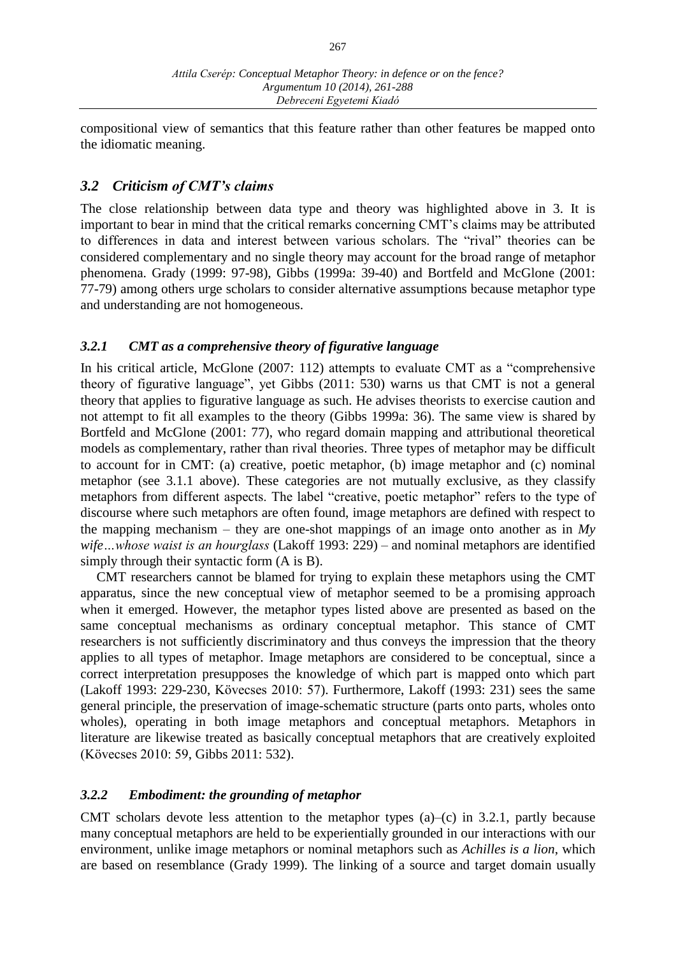compositional view of semantics that this feature rather than other features be mapped onto the idiomatic meaning.

# *3.2 Criticism of CMT's claims*

The close relationship between data type and theory was highlighted above in 3. It is important to bear in mind that the critical remarks concerning CMT's claims may be attributed to differences in data and interest between various scholars. The "rival" theories can be considered complementary and no single theory may account for the broad range of metaphor phenomena. Grady (1999: 97-98), Gibbs (1999a: 39-40) and Bortfeld and McGlone (2001: 77-79) among others urge scholars to consider alternative assumptions because metaphor type and understanding are not homogeneous.

# *3.2.1 CMT as a comprehensive theory of figurative language*

In his critical article, McGlone (2007: 112) attempts to evaluate CMT as a "comprehensive theory of figurative language", yet Gibbs (2011: 530) warns us that CMT is not a general theory that applies to figurative language as such. He advises theorists to exercise caution and not attempt to fit all examples to the theory (Gibbs 1999a: 36). The same view is shared by Bortfeld and McGlone (2001: 77), who regard domain mapping and attributional theoretical models as complementary, rather than rival theories. Three types of metaphor may be difficult to account for in CMT: (a) creative, poetic metaphor, (b) image metaphor and (c) nominal metaphor (see 3.1.1 above). These categories are not mutually exclusive, as they classify metaphors from different aspects. The label "creative, poetic metaphor" refers to the type of discourse where such metaphors are often found, image metaphors are defined with respect to the mapping mechanism – they are one-shot mappings of an image onto another as in *My wife…whose waist is an hourglass* (Lakoff 1993: 229) – and nominal metaphors are identified simply through their syntactic form (A is B).

CMT researchers cannot be blamed for trying to explain these metaphors using the CMT apparatus, since the new conceptual view of metaphor seemed to be a promising approach when it emerged. However, the metaphor types listed above are presented as based on the same conceptual mechanisms as ordinary conceptual metaphor. This stance of CMT researchers is not sufficiently discriminatory and thus conveys the impression that the theory applies to all types of metaphor. Image metaphors are considered to be conceptual, since a correct interpretation presupposes the knowledge of which part is mapped onto which part (Lakoff 1993: 229-230, Kövecses 2010: 57). Furthermore, Lakoff (1993: 231) sees the same general principle, the preservation of image-schematic structure (parts onto parts, wholes onto wholes), operating in both image metaphors and conceptual metaphors. Metaphors in literature are likewise treated as basically conceptual metaphors that are creatively exploited (Kövecses 2010: 59, Gibbs 2011: 532).

# *3.2.2 Embodiment: the grounding of metaphor*

CMT scholars devote less attention to the metaphor types (a)–(c) in 3.2.1, partly because many conceptual metaphors are held to be experientially grounded in our interactions with our environment, unlike image metaphors or nominal metaphors such as *Achilles is a lion*, which are based on resemblance (Grady 1999). The linking of a source and target domain usually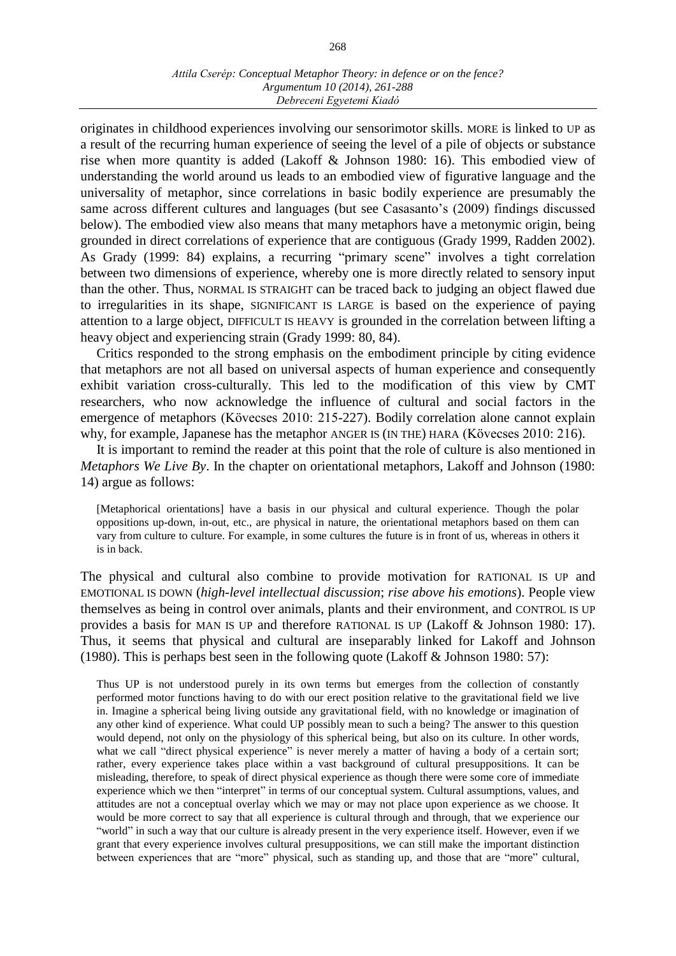#### *Attila Cserép: Conceptual Metaphor Theory: in defence or on the fence? Argumentum 10 (2014), 261-288 Debreceni Egyetemi Kiadó*

originates in childhood experiences involving our sensorimotor skills. MORE is linked to UP as a result of the recurring human experience of seeing the level of a pile of objects or substance rise when more quantity is added (Lakoff & Johnson 1980: 16). This embodied view of understanding the world around us leads to an embodied view of figurative language and the universality of metaphor, since correlations in basic bodily experience are presumably the same across different cultures and languages (but see Casasanto's (2009) findings discussed below). The embodied view also means that many metaphors have a metonymic origin, being grounded in direct correlations of experience that are contiguous (Grady 1999, Radden 2002). As Grady (1999: 84) explains, a recurring "primary scene" involves a tight correlation between two dimensions of experience, whereby one is more directly related to sensory input than the other. Thus, NORMAL IS STRAIGHT can be traced back to judging an object flawed due to irregularities in its shape, SIGNIFICANT IS LARGE is based on the experience of paying attention to a large object, DIFFICULT IS HEAVY is grounded in the correlation between lifting a heavy object and experiencing strain (Grady 1999: 80, 84).

Critics responded to the strong emphasis on the embodiment principle by citing evidence that metaphors are not all based on universal aspects of human experience and consequently exhibit variation cross-culturally. This led to the modification of this view by CMT researchers, who now acknowledge the influence of cultural and social factors in the emergence of metaphors (Kövecses 2010: 215-227). Bodily correlation alone cannot explain why, for example, Japanese has the metaphor ANGER IS (IN THE) HARA (Kövecses 2010: 216).

It is important to remind the reader at this point that the role of culture is also mentioned in *Metaphors We Live By*. In the chapter on orientational metaphors, Lakoff and Johnson (1980: 14) argue as follows:

[Metaphorical orientations] have a basis in our physical and cultural experience. Though the polar oppositions up-down, in-out, etc., are physical in nature, the orientational metaphors based on them can vary from culture to culture. For example, in some cultures the future is in front of us, whereas in others it is in back.

The physical and cultural also combine to provide motivation for RATIONAL IS UP and EMOTIONAL IS DOWN (*high-level intellectual discussion*; *rise above his emotions*). People view themselves as being in control over animals, plants and their environment, and CONTROL IS UP provides a basis for MAN IS UP and therefore RATIONAL IS UP (Lakoff & Johnson 1980: 17). Thus, it seems that physical and cultural are inseparably linked for Lakoff and Johnson (1980). This is perhaps best seen in the following quote (Lakoff & Johnson 1980: 57):

Thus UP is not understood purely in its own terms but emerges from the collection of constantly performed motor functions having to do with our erect position relative to the gravitational field we live in. Imagine a spherical being living outside any gravitational field, with no knowledge or imagination of any other kind of experience. What could UP possibly mean to such a being? The answer to this question would depend, not only on the physiology of this spherical being, but also on its culture. In other words, what we call "direct physical experience" is never merely a matter of having a body of a certain sort; rather, every experience takes place within a vast background of cultural presuppositions. It can be misleading, therefore, to speak of direct physical experience as though there were some core of immediate experience which we then "interpret" in terms of our conceptual system. Cultural assumptions, values, and attitudes are not a conceptual overlay which we may or may not place upon experience as we choose. It would be more correct to say that all experience is cultural through and through, that we experience our "world" in such a way that our culture is already present in the very experience itself. However, even if we grant that every experience involves cultural presuppositions, we can still make the important distinction between experiences that are "more" physical, such as standing up, and those that are "more" cultural,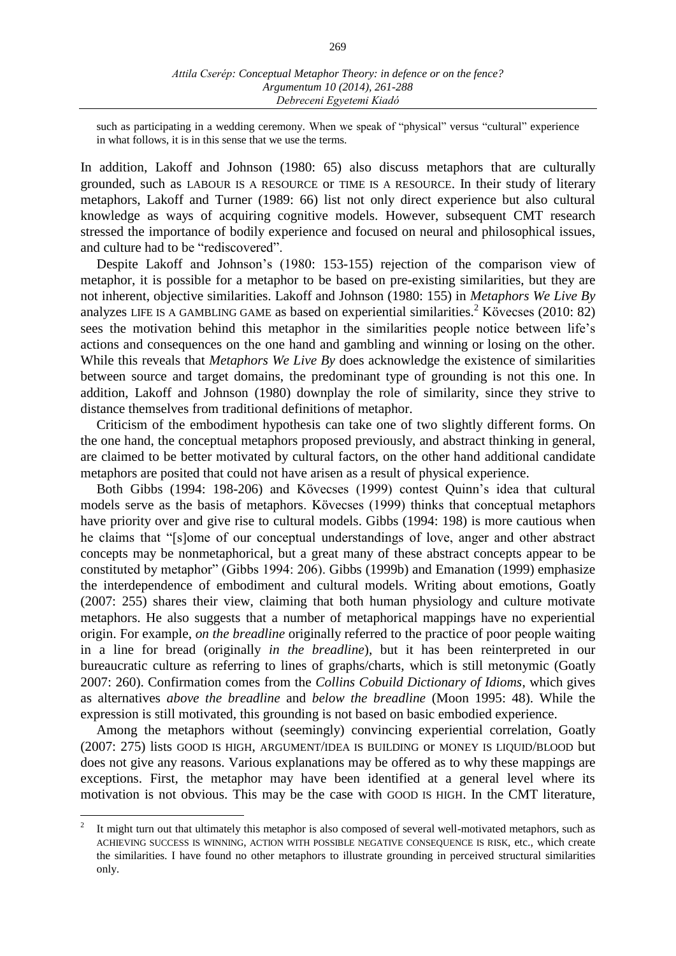such as participating in a wedding ceremony. When we speak of "physical" versus "cultural" experience in what follows, it is in this sense that we use the terms.

In addition, Lakoff and Johnson (1980: 65) also discuss metaphors that are culturally grounded, such as LABOUR IS A RESOURCE or TIME IS A RESOURCE. In their study of literary metaphors, Lakoff and Turner (1989: 66) list not only direct experience but also cultural knowledge as ways of acquiring cognitive models. However, subsequent CMT research stressed the importance of bodily experience and focused on neural and philosophical issues, and culture had to be "rediscovered".

Despite Lakoff and Johnson's (1980: 153-155) rejection of the comparison view of metaphor, it is possible for a metaphor to be based on pre-existing similarities, but they are not inherent, objective similarities. Lakoff and Johnson (1980: 155) in *Metaphors We Live By* analyzes LIFE IS A GAMBLING GAME as based on experiential similarities. <sup>2</sup> Kövecses (2010: 82) sees the motivation behind this metaphor in the similarities people notice between life's actions and consequences on the one hand and gambling and winning or losing on the other. While this reveals that *Metaphors We Live By* does acknowledge the existence of similarities between source and target domains, the predominant type of grounding is not this one. In addition, Lakoff and Johnson (1980) downplay the role of similarity, since they strive to distance themselves from traditional definitions of metaphor.

Criticism of the embodiment hypothesis can take one of two slightly different forms. On the one hand, the conceptual metaphors proposed previously, and abstract thinking in general, are claimed to be better motivated by cultural factors, on the other hand additional candidate metaphors are posited that could not have arisen as a result of physical experience.

Both Gibbs (1994: 198-206) and Kövecses (1999) contest Quinn's idea that cultural models serve as the basis of metaphors. Kövecses (1999) thinks that conceptual metaphors have priority over and give rise to cultural models. Gibbs (1994: 198) is more cautious when he claims that "[s]ome of our conceptual understandings of love, anger and other abstract concepts may be nonmetaphorical, but a great many of these abstract concepts appear to be constituted by metaphor" (Gibbs 1994: 206). Gibbs (1999b) and Emanation (1999) emphasize the interdependence of embodiment and cultural models. Writing about emotions, Goatly (2007: 255) shares their view, claiming that both human physiology and culture motivate metaphors. He also suggests that a number of metaphorical mappings have no experiential origin. For example, *on the breadline* originally referred to the practice of poor people waiting in a line for bread (originally *in the breadline*), but it has been reinterpreted in our bureaucratic culture as referring to lines of graphs/charts, which is still metonymic (Goatly 2007: 260). Confirmation comes from the *Collins Cobuild Dictionary of Idioms*, which gives as alternatives *above the breadline* and *below the breadline* (Moon 1995: 48). While the expression is still motivated, this grounding is not based on basic embodied experience.

Among the metaphors without (seemingly) convincing experiential correlation, Goatly (2007: 275) lists GOOD IS HIGH, ARGUMENT/IDEA IS BUILDING or MONEY IS LIQUID/BLOOD but does not give any reasons. Various explanations may be offered as to why these mappings are exceptions. First, the metaphor may have been identified at a general level where its motivation is not obvious. This may be the case with GOOD IS HIGH. In the CMT literature,

<sup>2</sup> It might turn out that ultimately this metaphor is also composed of several well-motivated metaphors, such as ACHIEVING SUCCESS IS WINNING, ACTION WITH POSSIBLE NEGATIVE CONSEQUENCE IS RISK, etc., which create the similarities. I have found no other metaphors to illustrate grounding in perceived structural similarities only.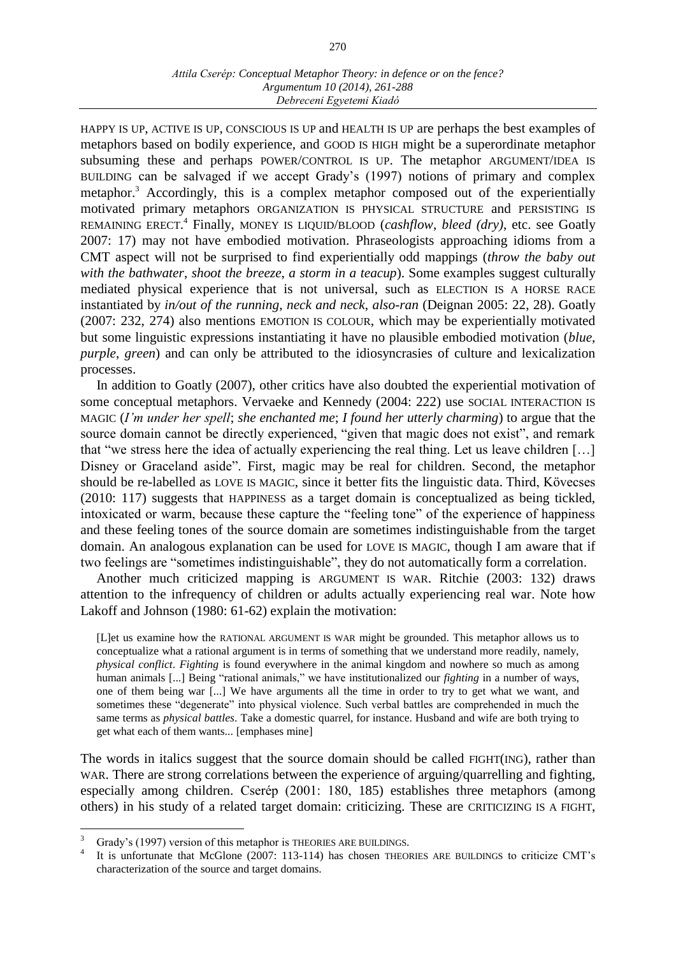HAPPY IS UP, ACTIVE IS UP, CONSCIOUS IS UP and HEALTH IS UP are perhaps the best examples of metaphors based on bodily experience, and GOOD IS HIGH might be a superordinate metaphor subsuming these and perhaps POWER/CONTROL IS UP. The metaphor ARGUMENT/IDEA IS BUILDING can be salvaged if we accept Grady's (1997) notions of primary and complex metaphor.<sup>3</sup> Accordingly, this is a complex metaphor composed out of the experientially motivated primary metaphors ORGANIZATION IS PHYSICAL STRUCTURE and PERSISTING IS REMAINING ERECT. 4 Finally, MONEY IS LIQUID/BLOOD (*cashflow*, *bleed (dry)*, etc. see Goatly 2007: 17) may not have embodied motivation. Phraseologists approaching idioms from a CMT aspect will not be surprised to find experientially odd mappings (*throw the baby out with the bathwater*, *shoot the breeze*, *a storm in a teacup*). Some examples suggest culturally mediated physical experience that is not universal, such as ELECTION IS A HORSE RACE instantiated by *in/out of the running*, *neck and neck*, *also-ran* (Deignan 2005: 22, 28). Goatly (2007: 232, 274) also mentions EMOTION IS COLOUR, which may be experientially motivated but some linguistic expressions instantiating it have no plausible embodied motivation (*blue*, *purple*, *green*) and can only be attributed to the idiosyncrasies of culture and lexicalization processes.

In addition to Goatly (2007), other critics have also doubted the experiential motivation of some conceptual metaphors. Vervaeke and Kennedy (2004: 222) use SOCIAL INTERACTION IS MAGIC (*I'm under her spell*; *she enchanted me*; *I found her utterly charming*) to argue that the source domain cannot be directly experienced, "given that magic does not exist", and remark that "we stress here the idea of actually experiencing the real thing. Let us leave children […] Disney or Graceland aside". First, magic may be real for children. Second, the metaphor should be re-labelled as LOVE IS MAGIC, since it better fits the linguistic data. Third, Kövecses (2010: 117) suggests that HAPPINESS as a target domain is conceptualized as being tickled, intoxicated or warm, because these capture the "feeling tone" of the experience of happiness and these feeling tones of the source domain are sometimes indistinguishable from the target domain. An analogous explanation can be used for LOVE IS MAGIC, though I am aware that if two feelings are "sometimes indistinguishable", they do not automatically form a correlation.

Another much criticized mapping is ARGUMENT IS WAR. Ritchie (2003: 132) draws attention to the infrequency of children or adults actually experiencing real war. Note how Lakoff and Johnson (1980: 61-62) explain the motivation:

[L]et us examine how the RATIONAL ARGUMENT IS WAR might be grounded. This metaphor allows us to conceptualize what a rational argument is in terms of something that we understand more readily, namely, *physical conflict*. *Fighting* is found everywhere in the animal kingdom and nowhere so much as among human animals [...] Being "rational animals," we have institutionalized our *fighting* in a number of ways, one of them being war [...] We have arguments all the time in order to try to get what we want, and sometimes these "degenerate" into physical violence. Such verbal battles are comprehended in much the same terms as *physical battles*. Take a domestic quarrel, for instance. Husband and wife are both trying to get what each of them wants... [emphases mine]

The words in italics suggest that the source domain should be called FIGHT(ING), rather than WAR. There are strong correlations between the experience of arguing/quarrelling and fighting, especially among children. Cserép (2001: 180, 185) establishes three metaphors (among others) in his study of a related target domain: criticizing. These are CRITICIZING IS A FIGHT,

Grady's (1997) version of this metaphor is THEORIES ARE BUILDINGS.

<sup>4</sup> It is unfortunate that McGlone (2007: 113-114) has chosen THEORIES ARE BUILDINGS to criticize CMT's characterization of the source and target domains.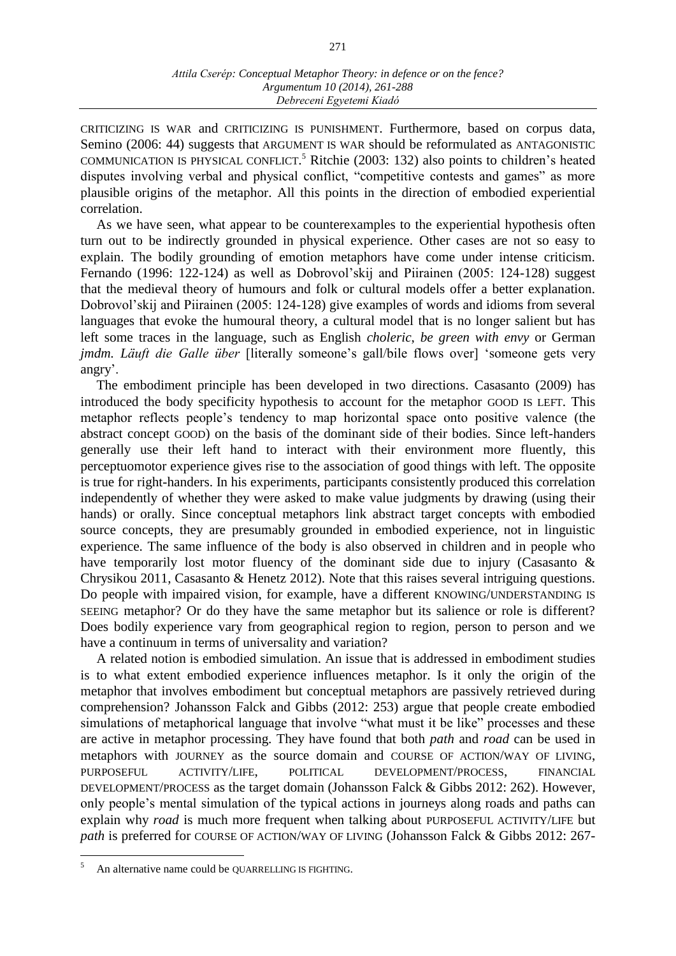CRITICIZING IS WAR and CRITICIZING IS PUNISHMENT. Furthermore, based on corpus data, Semino (2006: 44) suggests that ARGUMENT IS WAR should be reformulated as ANTAGONISTIC COMMUNICATION IS PHYSICAL CONFLICT. <sup>5</sup> Ritchie (2003: 132) also points to children's heated disputes involving verbal and physical conflict, "competitive contests and games" as more plausible origins of the metaphor. All this points in the direction of embodied experiential correlation.

As we have seen, what appear to be counterexamples to the experiential hypothesis often turn out to be indirectly grounded in physical experience. Other cases are not so easy to explain. The bodily grounding of emotion metaphors have come under intense criticism. Fernando (1996: 122-124) as well as Dobrovol'skij and Piirainen (2005: 124-128) suggest that the medieval theory of humours and folk or cultural models offer a better explanation. Dobrovol'skij and Piirainen (2005: 124-128) give examples of words and idioms from several languages that evoke the humoural theory, a cultural model that is no longer salient but has left some traces in the language, such as English *choleric*, *be green with envy* or German *jmdm. Läuft die Galle über* [literally someone's gall/bile flows over] 'someone gets very angry'.

The embodiment principle has been developed in two directions. Casasanto (2009) has introduced the body specificity hypothesis to account for the metaphor GOOD IS LEFT. This metaphor reflects people's tendency to map horizontal space onto positive valence (the abstract concept GOOD) on the basis of the dominant side of their bodies. Since left-handers generally use their left hand to interact with their environment more fluently, this perceptuomotor experience gives rise to the association of good things with left. The opposite is true for right-handers. In his experiments, participants consistently produced this correlation independently of whether they were asked to make value judgments by drawing (using their hands) or orally. Since conceptual metaphors link abstract target concepts with embodied source concepts, they are presumably grounded in embodied experience, not in linguistic experience. The same influence of the body is also observed in children and in people who have temporarily lost motor fluency of the dominant side due to injury (Casasanto & Chrysikou 2011, Casasanto & Henetz 2012). Note that this raises several intriguing questions. Do people with impaired vision, for example, have a different KNOWING/UNDERSTANDING IS SEEING metaphor? Or do they have the same metaphor but its salience or role is different? Does bodily experience vary from geographical region to region, person to person and we have a continuum in terms of universality and variation?

A related notion is embodied simulation. An issue that is addressed in embodiment studies is to what extent embodied experience influences metaphor. Is it only the origin of the metaphor that involves embodiment but conceptual metaphors are passively retrieved during comprehension? Johansson Falck and Gibbs (2012: 253) argue that people create embodied simulations of metaphorical language that involve "what must it be like" processes and these are active in metaphor processing. They have found that both *path* and *road* can be used in metaphors with JOURNEY as the source domain and COURSE OF ACTION/WAY OF LIVING, PURPOSEFUL ACTIVITY/LIFE, POLITICAL DEVELOPMENT/PROCESS, FINANCIAL DEVELOPMENT/PROCESS as the target domain (Johansson Falck & Gibbs 2012: 262). However, only people's mental simulation of the typical actions in journeys along roads and paths can explain why *road* is much more frequent when talking about PURPOSEFUL ACTIVITY/LIFE but *path* is preferred for COURSE OF ACTION/WAY OF LIVING (Johansson Falck & Gibbs 2012: 267-

An alternative name could be QUARRELLING IS FIGHTING.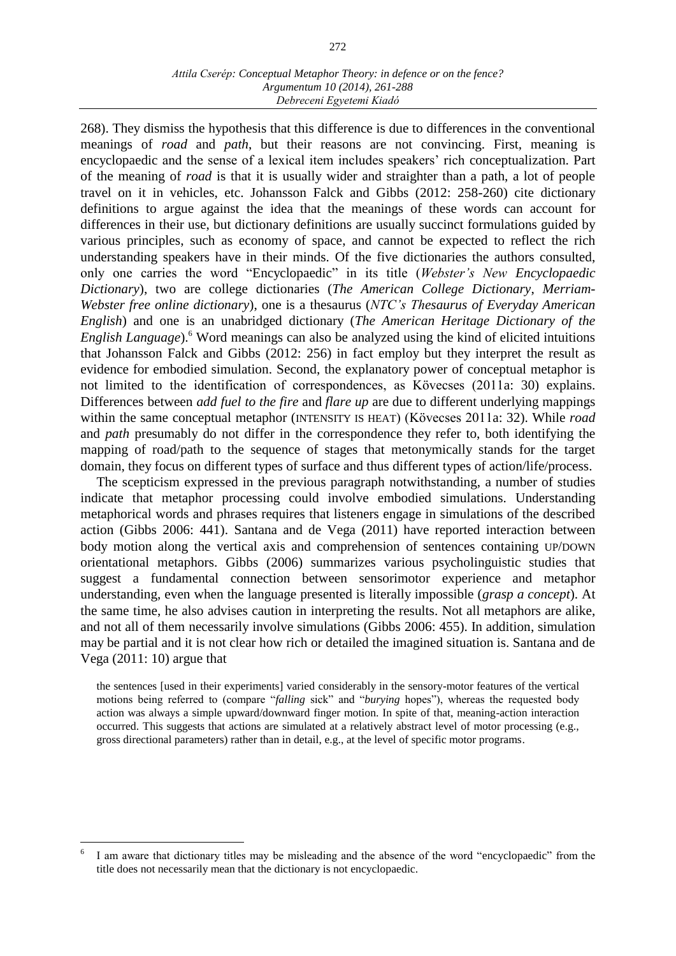#### *Attila Cserép: Conceptual Metaphor Theory: in defence or on the fence? Argumentum 10 (2014), 261-288 Debreceni Egyetemi Kiadó*

268). They dismiss the hypothesis that this difference is due to differences in the conventional meanings of *road* and *path*, but their reasons are not convincing. First, meaning is encyclopaedic and the sense of a lexical item includes speakers' rich conceptualization. Part of the meaning of *road* is that it is usually wider and straighter than a path, a lot of people travel on it in vehicles, etc. Johansson Falck and Gibbs (2012: 258-260) cite dictionary definitions to argue against the idea that the meanings of these words can account for differences in their use, but dictionary definitions are usually succinct formulations guided by various principles, such as economy of space, and cannot be expected to reflect the rich understanding speakers have in their minds. Of the five dictionaries the authors consulted, only one carries the word "Encyclopaedic" in its title (*Webster's New Encyclopaedic Dictionary*), two are college dictionaries (*The American College Dictionary*, *Merriam-Webster free online dictionary*), one is a thesaurus (*NTC's Thesaurus of Everyday American English*) and one is an unabridged dictionary (*The American Heritage Dictionary of the English Language*).<sup>6</sup> Word meanings can also be analyzed using the kind of elicited intuitions that Johansson Falck and Gibbs (2012: 256) in fact employ but they interpret the result as evidence for embodied simulation. Second, the explanatory power of conceptual metaphor is not limited to the identification of correspondences, as Kövecses (2011a: 30) explains. Differences between *add fuel to the fire* and *flare up* are due to different underlying mappings within the same conceptual metaphor (INTENSITY IS HEAT) (Kövecses 2011a: 32). While *road* and *path* presumably do not differ in the correspondence they refer to, both identifying the mapping of road/path to the sequence of stages that metonymically stands for the target domain, they focus on different types of surface and thus different types of action/life/process.

The scepticism expressed in the previous paragraph notwithstanding, a number of studies indicate that metaphor processing could involve embodied simulations. Understanding metaphorical words and phrases requires that listeners engage in simulations of the described action (Gibbs 2006: 441). Santana and de Vega (2011) have reported interaction between body motion along the vertical axis and comprehension of sentences containing UP/DOWN orientational metaphors. Gibbs (2006) summarizes various psycholinguistic studies that suggest a fundamental connection between sensorimotor experience and metaphor understanding, even when the language presented is literally impossible (*grasp a concept*). At the same time, he also advises caution in interpreting the results. Not all metaphors are alike, and not all of them necessarily involve simulations (Gibbs 2006: 455). In addition, simulation may be partial and it is not clear how rich or detailed the imagined situation is. Santana and de Vega (2011: 10) argue that

the sentences [used in their experiments] varied considerably in the sensory-motor features of the vertical motions being referred to (compare "*falling* sick" and "*burying* hopes"), whereas the requested body action was always a simple upward/downward finger motion. In spite of that, meaning-action interaction occurred. This suggests that actions are simulated at a relatively abstract level of motor processing (e.g., gross directional parameters) rather than in detail, e.g., at the level of specific motor programs.

<sup>6</sup> I am aware that dictionary titles may be misleading and the absence of the word "encyclopaedic" from the title does not necessarily mean that the dictionary is not encyclopaedic.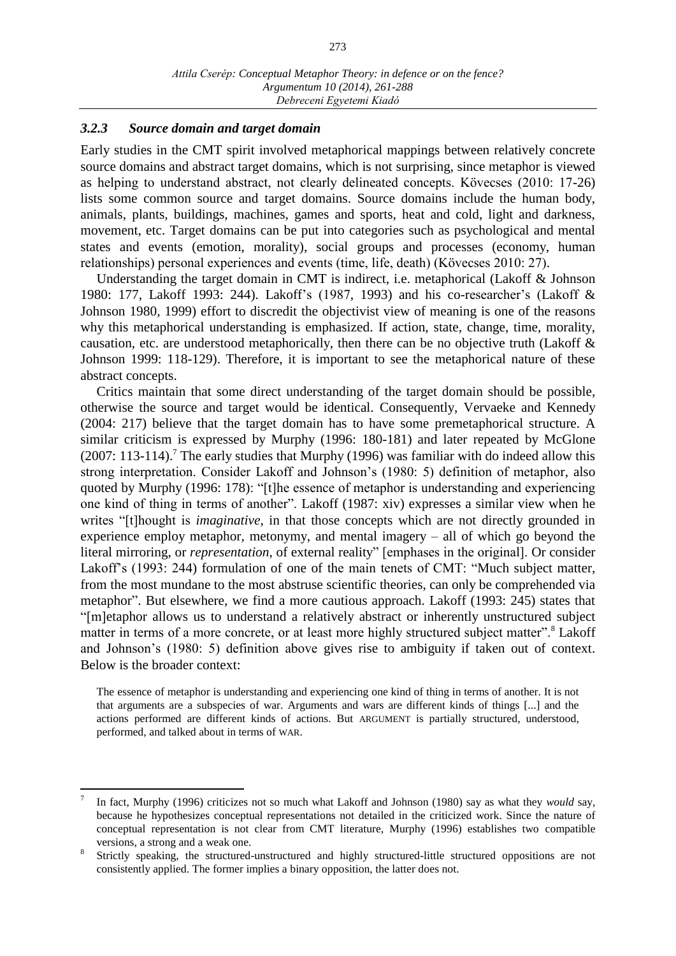### *3.2.3 Source domain and target domain*

 $\overline{a}$ 

Early studies in the CMT spirit involved metaphorical mappings between relatively concrete source domains and abstract target domains, which is not surprising, since metaphor is viewed as helping to understand abstract, not clearly delineated concepts. Kövecses (2010: 17-26) lists some common source and target domains. Source domains include the human body, animals, plants, buildings, machines, games and sports, heat and cold, light and darkness, movement, etc. Target domains can be put into categories such as psychological and mental states and events (emotion, morality), social groups and processes (economy, human relationships) personal experiences and events (time, life, death) (Kövecses 2010: 27).

Understanding the target domain in CMT is indirect, i.e. metaphorical (Lakoff & Johnson 1980: 177, Lakoff 1993: 244). Lakoff's (1987, 1993) and his co-researcher's (Lakoff & Johnson 1980, 1999) effort to discredit the objectivist view of meaning is one of the reasons why this metaphorical understanding is emphasized. If action, state, change, time, morality, causation, etc. are understood metaphorically, then there can be no objective truth (Lakoff & Johnson 1999: 118-129). Therefore, it is important to see the metaphorical nature of these abstract concepts.

Critics maintain that some direct understanding of the target domain should be possible, otherwise the source and target would be identical. Consequently, Vervaeke and Kennedy (2004: 217) believe that the target domain has to have some premetaphorical structure. A similar criticism is expressed by Murphy (1996: 180-181) and later repeated by McGlone (2007: 113-114).<sup>7</sup> The early studies that Murphy (1996) was familiar with do indeed allow this strong interpretation. Consider Lakoff and Johnson's (1980: 5) definition of metaphor, also quoted by Murphy (1996: 178): "[t]he essence of metaphor is understanding and experiencing one kind of thing in terms of another". Lakoff (1987: xiv) expresses a similar view when he writes "[t]hought is *imaginative*, in that those concepts which are not directly grounded in experience employ metaphor, metonymy, and mental imagery – all of which go beyond the literal mirroring, or *representation*, of external reality" [emphases in the original]. Or consider Lakoff's (1993: 244) formulation of one of the main tenets of CMT: "Much subject matter, from the most mundane to the most abstruse scientific theories, can only be comprehended via metaphor". But elsewhere, we find a more cautious approach. Lakoff (1993: 245) states that "[m]etaphor allows us to understand a relatively abstract or inherently unstructured subject matter in terms of a more concrete, or at least more highly structured subject matter".<sup>8</sup> Lakoff and Johnson's (1980: 5) definition above gives rise to ambiguity if taken out of context. Below is the broader context:

The essence of metaphor is understanding and experiencing one kind of thing in terms of another. It is not that arguments are a subspecies of war. Arguments and wars are different kinds of things [...] and the actions performed are different kinds of actions. But ARGUMENT is partially structured, understood, performed, and talked about in terms of WAR.

<sup>7</sup> In fact, Murphy (1996) criticizes not so much what Lakoff and Johnson (1980) say as what they *would* say, because he hypothesizes conceptual representations not detailed in the criticized work. Since the nature of conceptual representation is not clear from CMT literature, Murphy (1996) establishes two compatible versions, a strong and a weak one.

<sup>8</sup> Strictly speaking, the structured-unstructured and highly structured-little structured oppositions are not consistently applied. The former implies a binary opposition, the latter does not.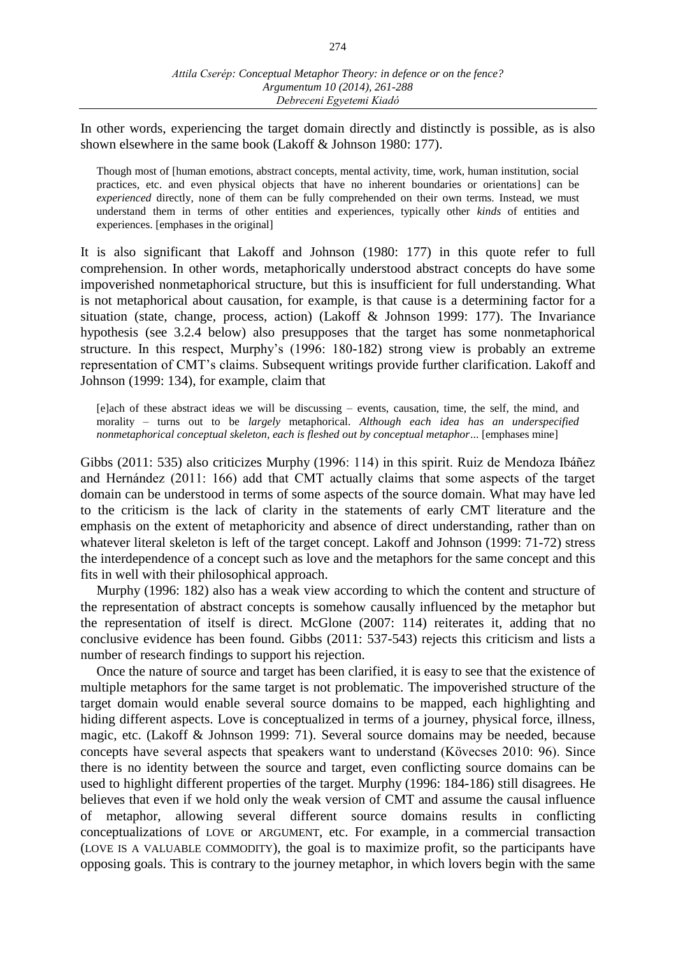In other words, experiencing the target domain directly and distinctly is possible, as is also shown elsewhere in the same book (Lakoff & Johnson 1980: 177).

Though most of [human emotions, abstract concepts, mental activity, time, work, human institution, social practices, etc. and even physical objects that have no inherent boundaries or orientations] can be *experienced* directly, none of them can be fully comprehended on their own terms. Instead, we must understand them in terms of other entities and experiences, typically other *kinds* of entities and experiences. [emphases in the original]

It is also significant that Lakoff and Johnson (1980: 177) in this quote refer to full comprehension. In other words, metaphorically understood abstract concepts do have some impoverished nonmetaphorical structure, but this is insufficient for full understanding. What is not metaphorical about causation, for example, is that cause is a determining factor for a situation (state, change, process, action) (Lakoff & Johnson 1999: 177). The Invariance hypothesis (see 3.2.4 below) also presupposes that the target has some nonmetaphorical structure. In this respect, Murphy's (1996: 180-182) strong view is probably an extreme representation of CMT's claims. Subsequent writings provide further clarification. Lakoff and Johnson (1999: 134), for example, claim that

[e]ach of these abstract ideas we will be discussing – events, causation, time, the self, the mind, and morality – turns out to be *largely* metaphorical. *Although each idea has an underspecified nonmetaphorical conceptual skeleton, each is fleshed out by conceptual metaphor*... [emphases mine]

Gibbs (2011: 535) also criticizes Murphy (1996: 114) in this spirit. Ruiz de Mendoza Ibáñez and Hernández (2011: 166) add that CMT actually claims that some aspects of the target domain can be understood in terms of some aspects of the source domain. What may have led to the criticism is the lack of clarity in the statements of early CMT literature and the emphasis on the extent of metaphoricity and absence of direct understanding, rather than on whatever literal skeleton is left of the target concept. Lakoff and Johnson (1999: 71-72) stress the interdependence of a concept such as love and the metaphors for the same concept and this fits in well with their philosophical approach.

Murphy (1996: 182) also has a weak view according to which the content and structure of the representation of abstract concepts is somehow causally influenced by the metaphor but the representation of itself is direct. McGlone (2007: 114) reiterates it, adding that no conclusive evidence has been found. Gibbs (2011: 537-543) rejects this criticism and lists a number of research findings to support his rejection.

Once the nature of source and target has been clarified, it is easy to see that the existence of multiple metaphors for the same target is not problematic. The impoverished structure of the target domain would enable several source domains to be mapped, each highlighting and hiding different aspects. Love is conceptualized in terms of a journey, physical force, illness, magic, etc. (Lakoff & Johnson 1999: 71). Several source domains may be needed, because concepts have several aspects that speakers want to understand (Kövecses 2010: 96). Since there is no identity between the source and target, even conflicting source domains can be used to highlight different properties of the target. Murphy (1996: 184-186) still disagrees. He believes that even if we hold only the weak version of CMT and assume the causal influence of metaphor, allowing several different source domains results in conflicting conceptualizations of LOVE or ARGUMENT, etc. For example, in a commercial transaction (LOVE IS A VALUABLE COMMODITY), the goal is to maximize profit, so the participants have opposing goals. This is contrary to the journey metaphor, in which lovers begin with the same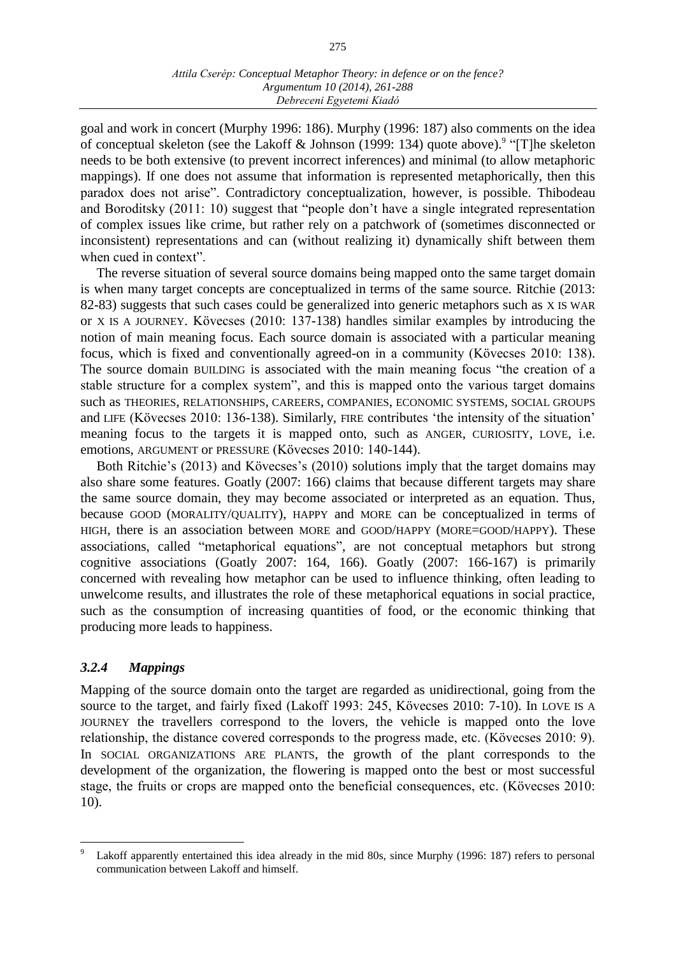goal and work in concert (Murphy 1996: 186). Murphy (1996: 187) also comments on the idea of conceptual skeleton (see the Lakoff & Johnson (1999: 134) quote above).<sup>9</sup> "[T]he skeleton needs to be both extensive (to prevent incorrect inferences) and minimal (to allow metaphoric mappings). If one does not assume that information is represented metaphorically, then this paradox does not arise". Contradictory conceptualization, however, is possible. Thibodeau and Boroditsky (2011: 10) suggest that "people don't have a single integrated representation of complex issues like crime, but rather rely on a patchwork of (sometimes disconnected or inconsistent) representations and can (without realizing it) dynamically shift between them when cued in context".

The reverse situation of several source domains being mapped onto the same target domain is when many target concepts are conceptualized in terms of the same source. Ritchie (2013: 82-83) suggests that such cases could be generalized into generic metaphors such as X IS WAR or X IS A JOURNEY. Kövecses (2010: 137-138) handles similar examples by introducing the notion of main meaning focus. Each source domain is associated with a particular meaning focus, which is fixed and conventionally agreed-on in a community (Kövecses 2010: 138). The source domain BUILDING is associated with the main meaning focus "the creation of a stable structure for a complex system", and this is mapped onto the various target domains such as THEORIES, RELATIONSHIPS, CAREERS, COMPANIES, ECONOMIC SYSTEMS, SOCIAL GROUPS and LIFE (Kövecses 2010: 136-138). Similarly, FIRE contributes 'the intensity of the situation' meaning focus to the targets it is mapped onto, such as ANGER, CURIOSITY, LOVE, i.e. emotions, ARGUMENT or PRESSURE (Kövecses 2010: 140-144).

Both Ritchie's (2013) and Kövecses's (2010) solutions imply that the target domains may also share some features. Goatly (2007: 166) claims that because different targets may share the same source domain, they may become associated or interpreted as an equation. Thus, because GOOD (MORALITY/QUALITY), HAPPY and MORE can be conceptualized in terms of HIGH, there is an association between MORE and GOOD/HAPPY (MORE=GOOD/HAPPY). These associations, called "metaphorical equations", are not conceptual metaphors but strong cognitive associations (Goatly 2007: 164, 166). Goatly (2007: 166-167) is primarily concerned with revealing how metaphor can be used to influence thinking, often leading to unwelcome results, and illustrates the role of these metaphorical equations in social practice, such as the consumption of increasing quantities of food, or the economic thinking that producing more leads to happiness.

# *3.2.4 Mappings*

 $\overline{a}$ 

Mapping of the source domain onto the target are regarded as unidirectional, going from the source to the target, and fairly fixed (Lakoff 1993: 245, Kövecses 2010: 7-10). In LOVE IS A JOURNEY the travellers correspond to the lovers, the vehicle is mapped onto the love relationship, the distance covered corresponds to the progress made, etc. (Kövecses 2010: 9). In SOCIAL ORGANIZATIONS ARE PLANTS, the growth of the plant corresponds to the development of the organization, the flowering is mapped onto the best or most successful stage, the fruits or crops are mapped onto the beneficial consequences, etc. (Kövecses 2010: 10).

Lakoff apparently entertained this idea already in the mid 80s, since Murphy (1996: 187) refers to personal communication between Lakoff and himself.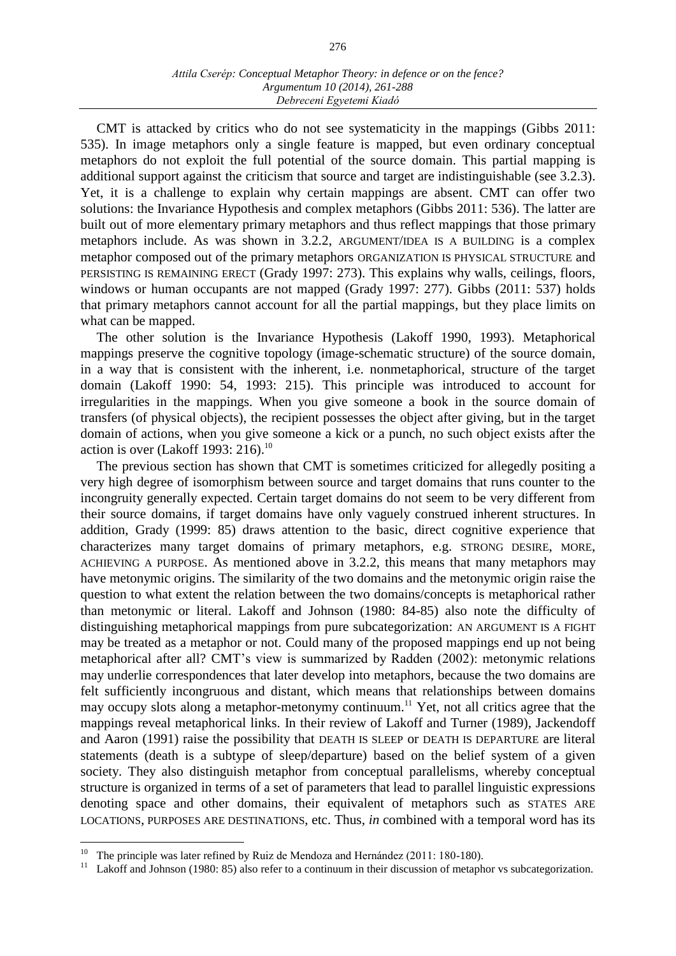CMT is attacked by critics who do not see systematicity in the mappings (Gibbs 2011: 535). In image metaphors only a single feature is mapped, but even ordinary conceptual metaphors do not exploit the full potential of the source domain. This partial mapping is additional support against the criticism that source and target are indistinguishable (see 3.2.3). Yet, it is a challenge to explain why certain mappings are absent. CMT can offer two solutions: the Invariance Hypothesis and complex metaphors (Gibbs 2011: 536). The latter are built out of more elementary primary metaphors and thus reflect mappings that those primary metaphors include. As was shown in 3.2.2, ARGUMENT/IDEA IS A BUILDING is a complex metaphor composed out of the primary metaphors ORGANIZATION IS PHYSICAL STRUCTURE and PERSISTING IS REMAINING ERECT (Grady 1997: 273). This explains why walls, ceilings, floors, windows or human occupants are not mapped (Grady 1997: 277). Gibbs (2011: 537) holds that primary metaphors cannot account for all the partial mappings, but they place limits on what can be mapped.

The other solution is the Invariance Hypothesis (Lakoff 1990, 1993). Metaphorical mappings preserve the cognitive topology (image-schematic structure) of the source domain, in a way that is consistent with the inherent, i.e. nonmetaphorical, structure of the target domain (Lakoff 1990: 54, 1993: 215). This principle was introduced to account for irregularities in the mappings. When you give someone a book in the source domain of transfers (of physical objects), the recipient possesses the object after giving, but in the target domain of actions, when you give someone a kick or a punch, no such object exists after the action is over (Lakoff 1993: 216).<sup>10</sup>

The previous section has shown that CMT is sometimes criticized for allegedly positing a very high degree of isomorphism between source and target domains that runs counter to the incongruity generally expected. Certain target domains do not seem to be very different from their source domains, if target domains have only vaguely construed inherent structures. In addition, Grady (1999: 85) draws attention to the basic, direct cognitive experience that characterizes many target domains of primary metaphors, e.g. STRONG DESIRE, MORE, ACHIEVING A PURPOSE. As mentioned above in 3.2.2, this means that many metaphors may have metonymic origins. The similarity of the two domains and the metonymic origin raise the question to what extent the relation between the two domains/concepts is metaphorical rather than metonymic or literal. Lakoff and Johnson (1980: 84-85) also note the difficulty of distinguishing metaphorical mappings from pure subcategorization: AN ARGUMENT IS A FIGHT may be treated as a metaphor or not. Could many of the proposed mappings end up not being metaphorical after all? CMT's view is summarized by Radden (2002): metonymic relations may underlie correspondences that later develop into metaphors, because the two domains are felt sufficiently incongruous and distant, which means that relationships between domains may occupy slots along a metaphor-metonymy continuum.<sup>11</sup> Yet, not all critics agree that the mappings reveal metaphorical links. In their review of Lakoff and Turner (1989), Jackendoff and Aaron (1991) raise the possibility that DEATH IS SLEEP or DEATH IS DEPARTURE are literal statements (death is a subtype of sleep/departure) based on the belief system of a given society. They also distinguish metaphor from conceptual parallelisms, whereby conceptual structure is organized in terms of a set of parameters that lead to parallel linguistic expressions denoting space and other domains, their equivalent of metaphors such as STATES ARE LOCATIONS, PURPOSES ARE DESTINATIONS, etc. Thus, *in* combined with a temporal word has its

<sup>&</sup>lt;sup>10</sup> The principle was later refined by Ruiz de Mendoza and Hernández (2011: 180-180).

<sup>&</sup>lt;sup>11</sup> Lakoff and Johnson (1980: 85) also refer to a continuum in their discussion of metaphor vs subcategorization.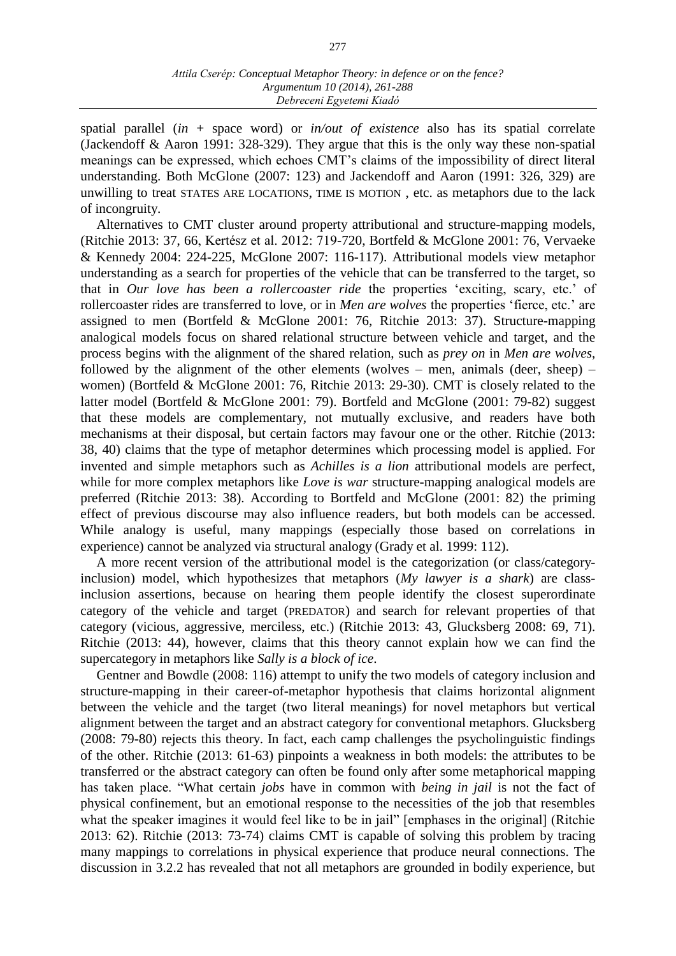spatial parallel (*in* + space word) or *in/out of existence* also has its spatial correlate (Jackendoff & Aaron 1991: 328-329). They argue that this is the only way these non-spatial meanings can be expressed, which echoes CMT's claims of the impossibility of direct literal understanding. Both McGlone (2007: 123) and Jackendoff and Aaron (1991: 326, 329) are unwilling to treat STATES ARE LOCATIONS, TIME IS MOTION , etc. as metaphors due to the lack of incongruity.

Alternatives to CMT cluster around property attributional and structure-mapping models, (Ritchie 2013: 37, 66, Kertész et al. 2012: 719-720, Bortfeld & McGlone 2001: 76, Vervaeke & Kennedy 2004: 224-225, McGlone 2007: 116-117). Attributional models view metaphor understanding as a search for properties of the vehicle that can be transferred to the target, so that in *Our love has been a rollercoaster ride* the properties 'exciting, scary, etc.' of rollercoaster rides are transferred to love, or in *Men are wolves* the properties 'fierce, etc.' are assigned to men (Bortfeld & McGlone 2001: 76, Ritchie 2013: 37). Structure-mapping analogical models focus on shared relational structure between vehicle and target, and the process begins with the alignment of the shared relation, such as *prey on* in *Men are wolves*, followed by the alignment of the other elements (wolves – men, animals (deer, sheep) – women) (Bortfeld & McGlone 2001: 76, Ritchie 2013: 29-30). CMT is closely related to the latter model (Bortfeld & McGlone 2001: 79). Bortfeld and McGlone (2001: 79-82) suggest that these models are complementary, not mutually exclusive, and readers have both mechanisms at their disposal, but certain factors may favour one or the other. Ritchie (2013: 38, 40) claims that the type of metaphor determines which processing model is applied. For invented and simple metaphors such as *Achilles is a lion* attributional models are perfect, while for more complex metaphors like *Love is war* structure-mapping analogical models are preferred (Ritchie 2013: 38). According to Bortfeld and McGlone (2001: 82) the priming effect of previous discourse may also influence readers, but both models can be accessed. While analogy is useful, many mappings (especially those based on correlations in experience) cannot be analyzed via structural analogy (Grady et al. 1999: 112).

A more recent version of the attributional model is the categorization (or class/categoryinclusion) model, which hypothesizes that metaphors (*My lawyer is a shark*) are classinclusion assertions, because on hearing them people identify the closest superordinate category of the vehicle and target (PREDATOR) and search for relevant properties of that category (vicious, aggressive, merciless, etc.) (Ritchie 2013: 43, Glucksberg 2008: 69, 71). Ritchie (2013: 44), however, claims that this theory cannot explain how we can find the supercategory in metaphors like *Sally is a block of ice*.

Gentner and Bowdle (2008: 116) attempt to unify the two models of category inclusion and structure-mapping in their career-of-metaphor hypothesis that claims horizontal alignment between the vehicle and the target (two literal meanings) for novel metaphors but vertical alignment between the target and an abstract category for conventional metaphors. Glucksberg (2008: 79-80) rejects this theory. In fact, each camp challenges the psycholinguistic findings of the other. Ritchie (2013: 61-63) pinpoints a weakness in both models: the attributes to be transferred or the abstract category can often be found only after some metaphorical mapping has taken place. "What certain *jobs* have in common with *being in jail* is not the fact of physical confinement, but an emotional response to the necessities of the job that resembles what the speaker imagines it would feel like to be in jail" [emphases in the original] (Ritchie 2013: 62). Ritchie (2013: 73-74) claims CMT is capable of solving this problem by tracing many mappings to correlations in physical experience that produce neural connections. The discussion in 3.2.2 has revealed that not all metaphors are grounded in bodily experience, but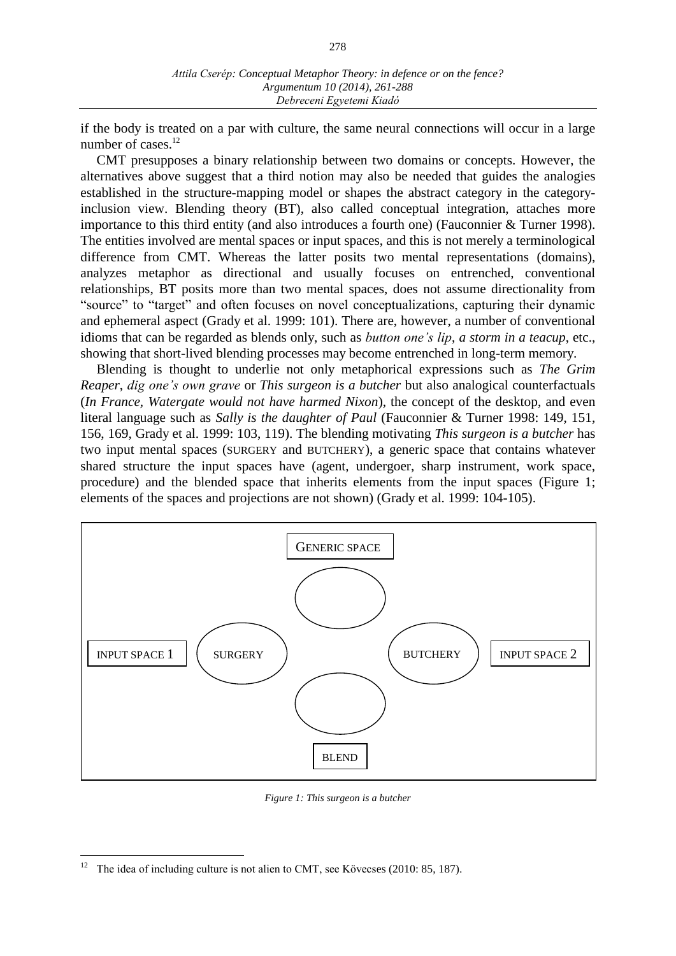278

if the body is treated on a par with culture, the same neural connections will occur in a large number of cases. $^{12}$ 

CMT presupposes a binary relationship between two domains or concepts. However, the alternatives above suggest that a third notion may also be needed that guides the analogies established in the structure-mapping model or shapes the abstract category in the categoryinclusion view. Blending theory (BT), also called conceptual integration, attaches more importance to this third entity (and also introduces a fourth one) (Fauconnier & Turner 1998). The entities involved are mental spaces or input spaces, and this is not merely a terminological difference from CMT. Whereas the latter posits two mental representations (domains), analyzes metaphor as directional and usually focuses on entrenched, conventional relationships, BT posits more than two mental spaces, does not assume directionality from "source" to "target" and often focuses on novel conceptualizations, capturing their dynamic and ephemeral aspect (Grady et al. 1999: 101). There are, however, a number of conventional idioms that can be regarded as blends only, such as *button one's lip*, *a storm in a teacup*, etc., showing that short-lived blending processes may become entrenched in long-term memory.

Blending is thought to underlie not only metaphorical expressions such as *The Grim Reaper*, *dig one's own grave* or *This surgeon is a butcher* but also analogical counterfactuals (*In France, Watergate would not have harmed Nixon*), the concept of the desktop, and even literal language such as *Sally is the daughter of Paul* (Fauconnier & Turner 1998: 149, 151, 156, 169, Grady et al. 1999: 103, 119). The blending motivating *This surgeon is a butcher* has two input mental spaces (SURGERY and BUTCHERY), a generic space that contains whatever shared structure the input spaces have (agent, undergoer, sharp instrument, work space, procedure) and the blended space that inherits elements from the input spaces (Figure 1; elements of the spaces and projections are not shown) (Grady et al. 1999: 104-105).



*Figure 1: This surgeon is a butcher*

 $\overline{a}$ The idea of including culture is not alien to CMT, see Kövecses (2010: 85, 187).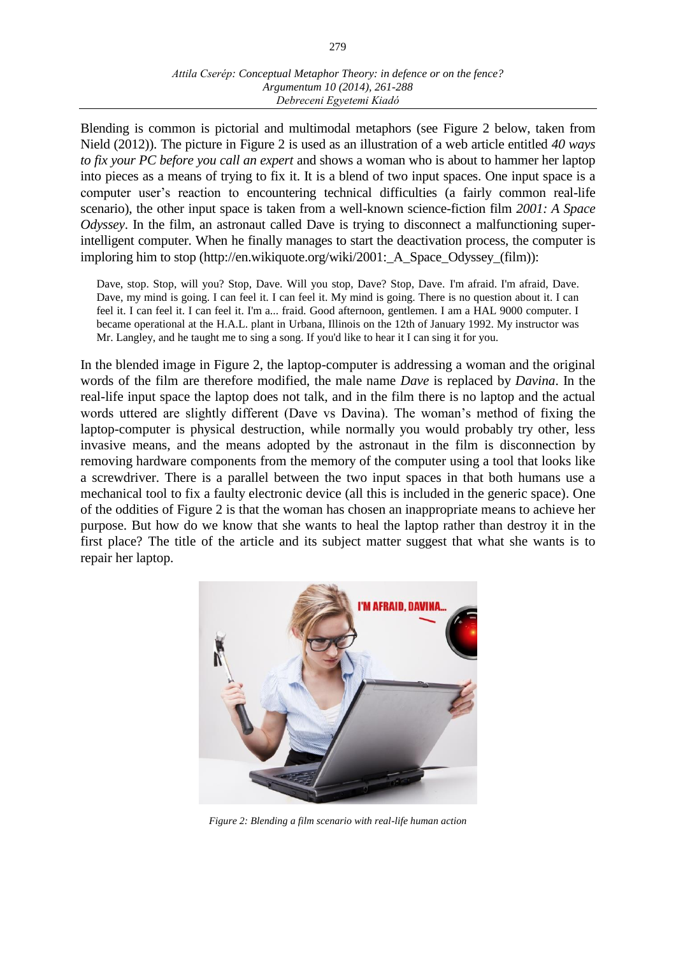### *Attila Cserép: Conceptual Metaphor Theory: in defence or on the fence? Argumentum 10 (2014), 261-288 Debreceni Egyetemi Kiadó*

Blending is common is pictorial and multimodal metaphors (see Figure 2 below, taken from Nield (2012)). The picture in Figure 2 is used as an illustration of a web article entitled *40 ways to fix your PC before you call an expert* and shows a woman who is about to hammer her laptop into pieces as a means of trying to fix it. It is a blend of two input spaces. One input space is a computer user's reaction to encountering technical difficulties (a fairly common real-life scenario), the other input space is taken from a well-known science-fiction film *2001: A Space Odyssey*. In the film, an astronaut called Dave is trying to disconnect a malfunctioning superintelligent computer. When he finally manages to start the deactivation process, the computer is imploring him to stop (http://en.wikiquote.org/wiki/2001: A Space Odyssey (film)):

Dave, stop. Stop, will you? Stop, Dave. Will you stop, Dave? Stop, Dave. I'm afraid. I'm afraid, Dave. Dave, my mind is going. I can feel it. I can feel it. My mind is going. There is no question about it. I can feel it. I can feel it. I can feel it. I'm a... fraid. Good afternoon, gentlemen. I am a HAL 9000 computer. I became operational at the H.A.L. plant in Urbana, Illinois on the 12th of January 1992. My instructor was Mr. Langley, and he taught me to sing a song. If you'd like to hear it I can sing it for you.

In the blended image in Figure 2, the laptop-computer is addressing a woman and the original words of the film are therefore modified, the male name *Dave* is replaced by *Davina*. In the real-life input space the laptop does not talk, and in the film there is no laptop and the actual words uttered are slightly different (Dave vs Davina). The woman's method of fixing the laptop-computer is physical destruction, while normally you would probably try other, less invasive means, and the means adopted by the astronaut in the film is disconnection by removing hardware components from the memory of the computer using a tool that looks like a screwdriver. There is a parallel between the two input spaces in that both humans use a mechanical tool to fix a faulty electronic device (all this is included in the generic space). One of the oddities of Figure 2 is that the woman has chosen an inappropriate means to achieve her purpose. But how do we know that she wants to heal the laptop rather than destroy it in the first place? The title of the article and its subject matter suggest that what she wants is to repair her laptop.



*Figure 2: Blending a film scenario with real-life human action*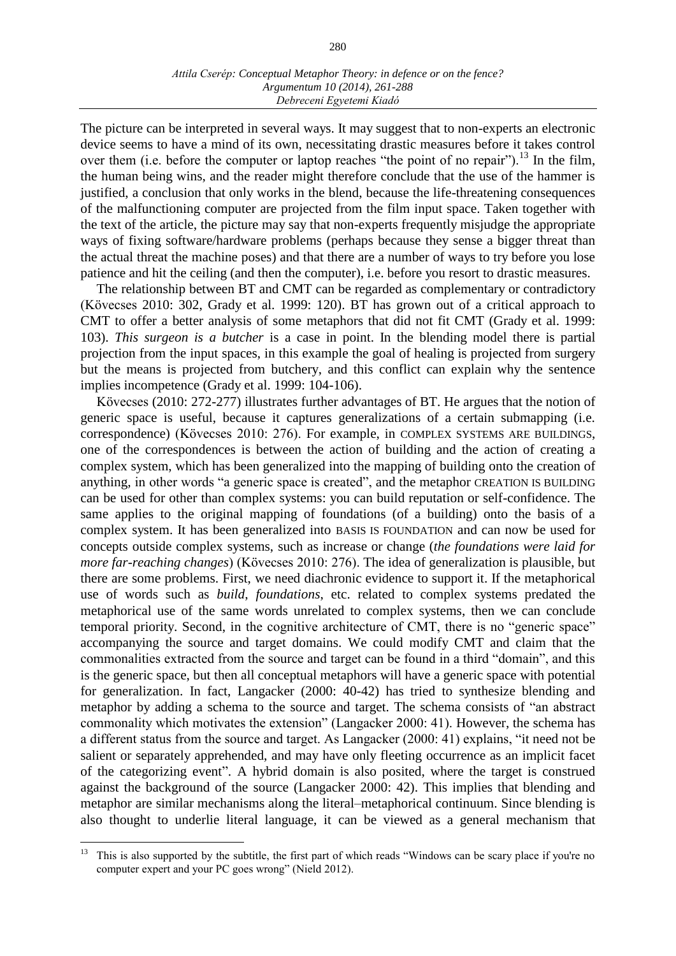The picture can be interpreted in several ways. It may suggest that to non-experts an electronic device seems to have a mind of its own, necessitating drastic measures before it takes control over them (i.e. before the computer or laptop reaches "the point of no repair").<sup>13</sup> In the film, the human being wins, and the reader might therefore conclude that the use of the hammer is justified, a conclusion that only works in the blend, because the life-threatening consequences of the malfunctioning computer are projected from the film input space. Taken together with the text of the article, the picture may say that non-experts frequently misjudge the appropriate ways of fixing software/hardware problems (perhaps because they sense a bigger threat than the actual threat the machine poses) and that there are a number of ways to try before you lose patience and hit the ceiling (and then the computer), i.e. before you resort to drastic measures.

The relationship between BT and CMT can be regarded as complementary or contradictory (Kövecses 2010: 302, Grady et al. 1999: 120). BT has grown out of a critical approach to CMT to offer a better analysis of some metaphors that did not fit CMT (Grady et al. 1999: 103). *This surgeon is a butcher* is a case in point. In the blending model there is partial projection from the input spaces, in this example the goal of healing is projected from surgery but the means is projected from butchery, and this conflict can explain why the sentence implies incompetence (Grady et al. 1999: 104-106).

Kövecses (2010: 272-277) illustrates further advantages of BT. He argues that the notion of generic space is useful, because it captures generalizations of a certain submapping (i.e. correspondence) (Kövecses 2010: 276). For example, in COMPLEX SYSTEMS ARE BUILDINGS, one of the correspondences is between the action of building and the action of creating a complex system, which has been generalized into the mapping of building onto the creation of anything, in other words "a generic space is created", and the metaphor CREATION IS BUILDING can be used for other than complex systems: you can build reputation or self-confidence. The same applies to the original mapping of foundations (of a building) onto the basis of a complex system. It has been generalized into BASIS IS FOUNDATION and can now be used for concepts outside complex systems, such as increase or change (*the foundations were laid for more far-reaching changes*) (Kövecses 2010: 276). The idea of generalization is plausible, but there are some problems. First, we need diachronic evidence to support it. If the metaphorical use of words such as *build*, *foundations*, etc. related to complex systems predated the metaphorical use of the same words unrelated to complex systems, then we can conclude temporal priority. Second, in the cognitive architecture of CMT, there is no "generic space" accompanying the source and target domains. We could modify CMT and claim that the commonalities extracted from the source and target can be found in a third "domain", and this is the generic space, but then all conceptual metaphors will have a generic space with potential for generalization. In fact, Langacker (2000: 40-42) has tried to synthesize blending and metaphor by adding a schema to the source and target. The schema consists of "an abstract commonality which motivates the extension" (Langacker 2000: 41). However, the schema has a different status from the source and target. As Langacker (2000: 41) explains, "it need not be salient or separately apprehended, and may have only fleeting occurrence as an implicit facet of the categorizing event". A hybrid domain is also posited, where the target is construed against the background of the source (Langacker 2000: 42). This implies that blending and metaphor are similar mechanisms along the literal–metaphorical continuum. Since blending is also thought to underlie literal language, it can be viewed as a general mechanism that

<sup>13</sup> This is also supported by the subtitle, the first part of which reads "Windows can be scary place if you're no computer expert and your PC goes wrong" (Nield 2012).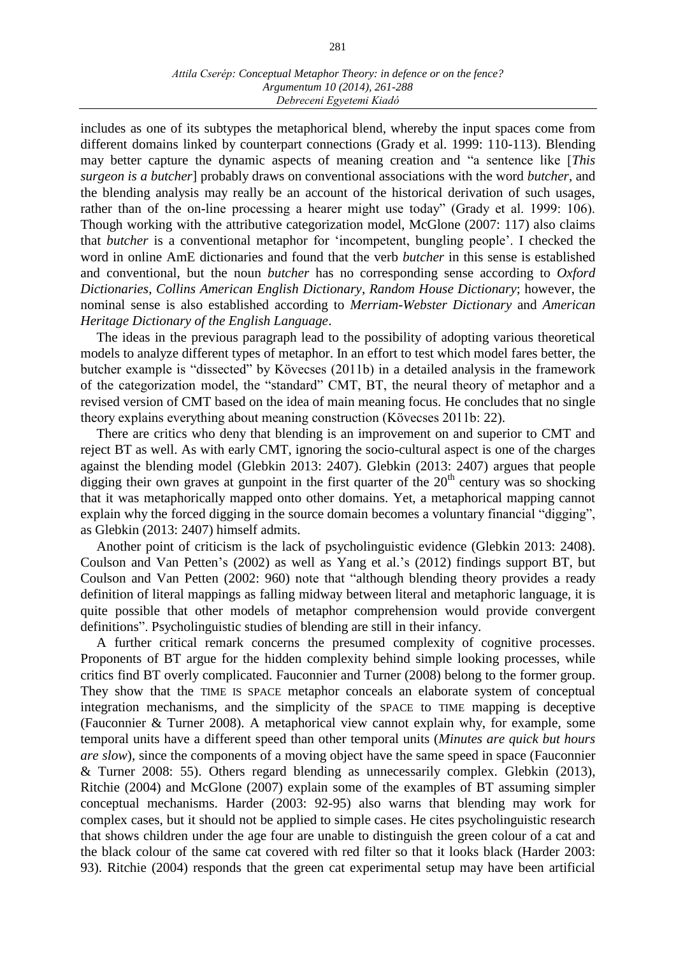includes as one of its subtypes the metaphorical blend, whereby the input spaces come from different domains linked by counterpart connections (Grady et al. 1999: 110-113). Blending may better capture the dynamic aspects of meaning creation and "a sentence like [*This surgeon is a butcher*] probably draws on conventional associations with the word *butcher*, and the blending analysis may really be an account of the historical derivation of such usages, rather than of the on-line processing a hearer might use today" (Grady et al. 1999: 106). Though working with the attributive categorization model, McGlone (2007: 117) also claims that *butcher* is a conventional metaphor for 'incompetent, bungling people'. I checked the word in online AmE dictionaries and found that the verb *butcher* in this sense is established and conventional, but the noun *butcher* has no corresponding sense according to *Oxford Dictionaries*, *Collins American English Dictionary*, *Random House Dictionary*; however, the nominal sense is also established according to *Merriam-Webster Dictionary* and *American Heritage Dictionary of the English Language*.

The ideas in the previous paragraph lead to the possibility of adopting various theoretical models to analyze different types of metaphor. In an effort to test which model fares better, the butcher example is "dissected" by Kövecses (2011b) in a detailed analysis in the framework of the categorization model, the "standard" CMT, BT, the neural theory of metaphor and a revised version of CMT based on the idea of main meaning focus. He concludes that no single theory explains everything about meaning construction (Kövecses 2011b: 22).

There are critics who deny that blending is an improvement on and superior to CMT and reject BT as well. As with early CMT, ignoring the socio-cultural aspect is one of the charges against the blending model (Glebkin 2013: 2407). Glebkin (2013: 2407) argues that people digging their own graves at gunpoint in the first quarter of the  $20<sup>th</sup>$  century was so shocking that it was metaphorically mapped onto other domains. Yet, a metaphorical mapping cannot explain why the forced digging in the source domain becomes a voluntary financial "digging", as Glebkin (2013: 2407) himself admits.

Another point of criticism is the lack of psycholinguistic evidence (Glebkin 2013: 2408). Coulson and Van Petten's (2002) as well as Yang et al.'s (2012) findings support BT, but Coulson and Van Petten (2002: 960) note that "although blending theory provides a ready definition of literal mappings as falling midway between literal and metaphoric language, it is quite possible that other models of metaphor comprehension would provide convergent definitions". Psycholinguistic studies of blending are still in their infancy.

A further critical remark concerns the presumed complexity of cognitive processes. Proponents of BT argue for the hidden complexity behind simple looking processes, while critics find BT overly complicated. Fauconnier and Turner (2008) belong to the former group. They show that the TIME IS SPACE metaphor conceals an elaborate system of conceptual integration mechanisms, and the simplicity of the SPACE to TIME mapping is deceptive (Fauconnier & Turner 2008). A metaphorical view cannot explain why, for example, some temporal units have a different speed than other temporal units (*Minutes are quick but hours are slow*), since the components of a moving object have the same speed in space (Fauconnier & Turner 2008: 55). Others regard blending as unnecessarily complex. Glebkin (2013), Ritchie (2004) and McGlone (2007) explain some of the examples of BT assuming simpler conceptual mechanisms. Harder (2003: 92-95) also warns that blending may work for complex cases, but it should not be applied to simple cases. He cites psycholinguistic research that shows children under the age four are unable to distinguish the green colour of a cat and the black colour of the same cat covered with red filter so that it looks black (Harder 2003: 93). Ritchie (2004) responds that the green cat experimental setup may have been artificial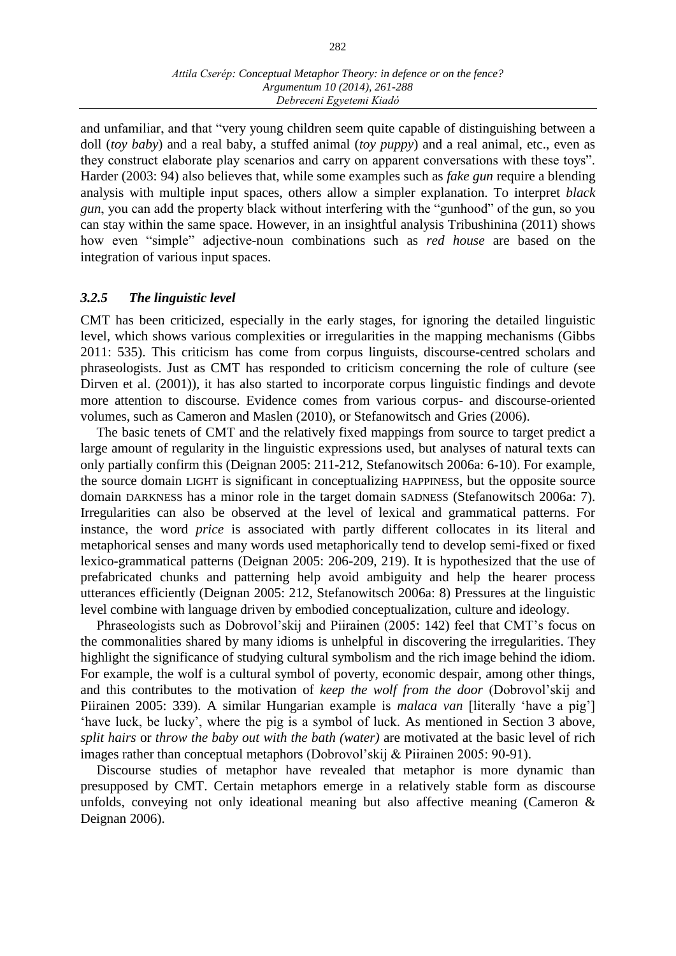and unfamiliar, and that "very young children seem quite capable of distinguishing between a doll (*toy baby*) and a real baby, a stuffed animal (*toy puppy*) and a real animal, etc., even as they construct elaborate play scenarios and carry on apparent conversations with these toys". Harder (2003: 94) also believes that, while some examples such as *fake gun* require a blending analysis with multiple input spaces, others allow a simpler explanation. To interpret *black gun*, you can add the property black without interfering with the "gunhood" of the gun, so you can stay within the same space. However, in an insightful analysis Tribushinina (2011) shows how even "simple" adjective-noun combinations such as *red house* are based on the integration of various input spaces.

### *3.2.5 The linguistic level*

CMT has been criticized, especially in the early stages, for ignoring the detailed linguistic level, which shows various complexities or irregularities in the mapping mechanisms (Gibbs 2011: 535). This criticism has come from corpus linguists, discourse-centred scholars and phraseologists. Just as CMT has responded to criticism concerning the role of culture (see Dirven et al. (2001)), it has also started to incorporate corpus linguistic findings and devote more attention to discourse. Evidence comes from various corpus- and discourse-oriented volumes, such as Cameron and Maslen (2010), or Stefanowitsch and Gries (2006).

The basic tenets of CMT and the relatively fixed mappings from source to target predict a large amount of regularity in the linguistic expressions used, but analyses of natural texts can only partially confirm this (Deignan 2005: 211-212, Stefanowitsch 2006a: 6-10). For example, the source domain LIGHT is significant in conceptualizing HAPPINESS, but the opposite source domain DARKNESS has a minor role in the target domain SADNESS (Stefanowitsch 2006a: 7). Irregularities can also be observed at the level of lexical and grammatical patterns. For instance, the word *price* is associated with partly different collocates in its literal and metaphorical senses and many words used metaphorically tend to develop semi-fixed or fixed lexico-grammatical patterns (Deignan 2005: 206-209, 219). It is hypothesized that the use of prefabricated chunks and patterning help avoid ambiguity and help the hearer process utterances efficiently (Deignan 2005: 212, Stefanowitsch 2006a: 8) Pressures at the linguistic level combine with language driven by embodied conceptualization, culture and ideology.

Phraseologists such as Dobrovol'skij and Piirainen (2005: 142) feel that CMT's focus on the commonalities shared by many idioms is unhelpful in discovering the irregularities. They highlight the significance of studying cultural symbolism and the rich image behind the idiom. For example, the wolf is a cultural symbol of poverty, economic despair, among other things, and this contributes to the motivation of *keep the wolf from the door* (Dobrovol'skij and Piirainen 2005: 339). A similar Hungarian example is *malaca van* [literally 'have a pig'] 'have luck, be lucky', where the pig is a symbol of luck. As mentioned in Section 3 above, *split hairs* or *throw the baby out with the bath (water)* are motivated at the basic level of rich images rather than conceptual metaphors (Dobrovol'skij & Piirainen 2005: 90-91).

Discourse studies of metaphor have revealed that metaphor is more dynamic than presupposed by CMT. Certain metaphors emerge in a relatively stable form as discourse unfolds, conveying not only ideational meaning but also affective meaning (Cameron & Deignan 2006).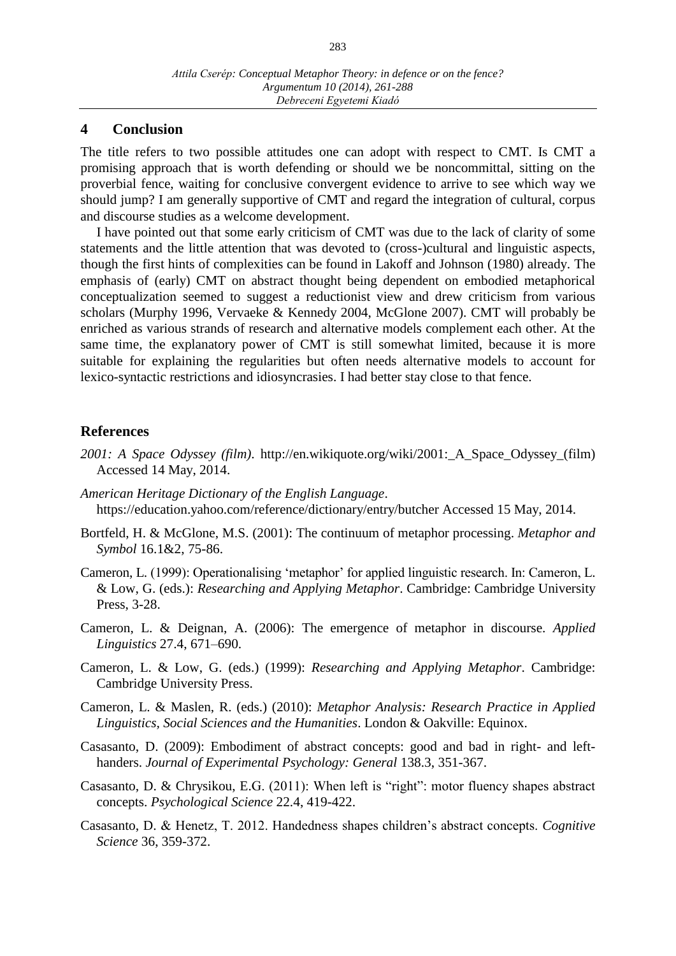## **4 Conclusion**

The title refers to two possible attitudes one can adopt with respect to CMT. Is CMT a promising approach that is worth defending or should we be noncommittal, sitting on the proverbial fence, waiting for conclusive convergent evidence to arrive to see which way we should jump? I am generally supportive of CMT and regard the integration of cultural, corpus and discourse studies as a welcome development.

I have pointed out that some early criticism of CMT was due to the lack of clarity of some statements and the little attention that was devoted to (cross-)cultural and linguistic aspects, though the first hints of complexities can be found in Lakoff and Johnson (1980) already. The emphasis of (early) CMT on abstract thought being dependent on embodied metaphorical conceptualization seemed to suggest a reductionist view and drew criticism from various scholars (Murphy 1996, Vervaeke & Kennedy 2004, McGlone 2007). CMT will probably be enriched as various strands of research and alternative models complement each other. At the same time, the explanatory power of CMT is still somewhat limited, because it is more suitable for explaining the regularities but often needs alternative models to account for lexico-syntactic restrictions and idiosyncrasies. I had better stay close to that fence.

### **References**

- *2001: A Space Odyssey (film)*. http://en.wikiquote.org/wiki/2001:\_A\_Space\_Odyssey\_(film) Accessed 14 May, 2014.
- *American Heritage Dictionary of the English Language*. https://education.yahoo.com/reference/dictionary/entry/butcher Accessed 15 May, 2014.
- Bortfeld, H. & McGlone, M.S. (2001): The continuum of metaphor processing. *Metaphor and Symbol* 16.1&2, 75-86.
- Cameron, L. (1999): Operationalising 'metaphor' for applied linguistic research. In: Cameron, L. & Low, G. (eds.): *Researching and Applying Metaphor*. Cambridge: Cambridge University Press, 3-28.
- Cameron, L. & Deignan, A. (2006): The emergence of metaphor in discourse. *Applied Linguistics* 27.4, 671–690.
- Cameron, L. & Low, G. (eds.) (1999): *Researching and Applying Metaphor*. Cambridge: Cambridge University Press.
- Cameron, L. & Maslen, R. (eds.) (2010): *Metaphor Analysis: Research Practice in Applied Linguistics, Social Sciences and the Humanities*. London & Oakville: Equinox.
- Casasanto, D. (2009): Embodiment of abstract concepts: good and bad in right- and lefthanders. *Journal of Experimental Psychology: General* 138.3, 351-367.
- Casasanto, D. & Chrysikou, E.G. (2011): When left is "right": motor fluency shapes abstract concepts. *Psychological Science* 22.4, 419-422.
- Casasanto, D. & Henetz, T. 2012. Handedness shapes children's abstract concepts. *Cognitive Science* 36, 359-372.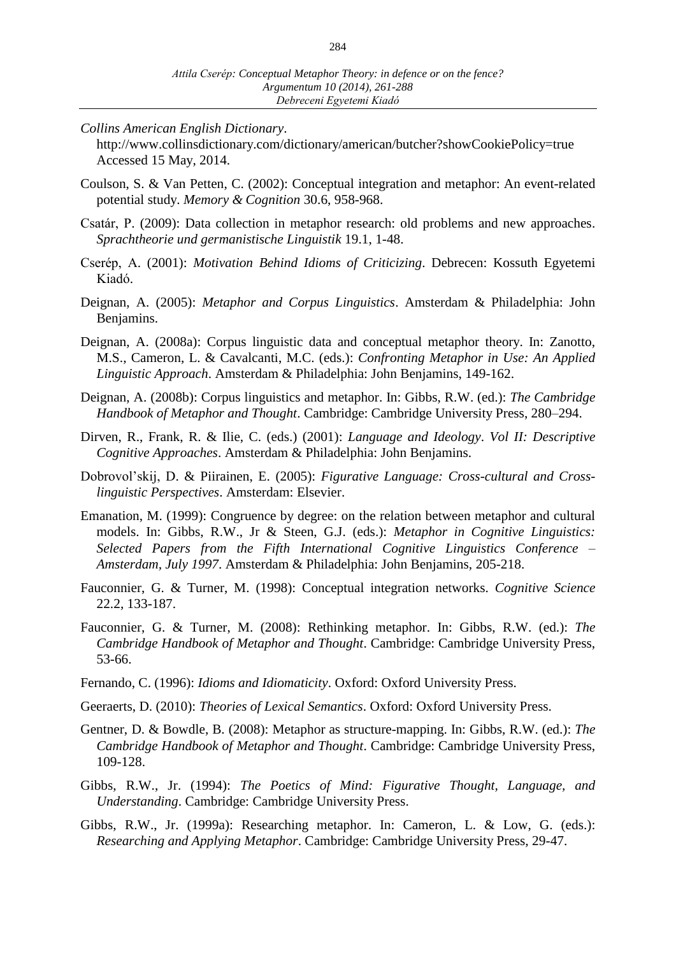*Collins American English Dictionary*.

http://www.collinsdictionary.com/dictionary/american/butcher?showCookiePolicy=true Accessed 15 May, 2014.

- Coulson, S. & Van Petten, C. (2002): Conceptual integration and metaphor: An event-related potential study. *Memory & Cognition* 30.6, 958-968.
- Csatár, P. (2009): Data collection in metaphor research: old problems and new approaches. *Sprachtheorie und germanistische Linguistik* 19.1, 1-48.
- Cserép, A. (2001): *Motivation Behind Idioms of Criticizing*. Debrecen: Kossuth Egyetemi Kiadó.
- Deignan, A. (2005): *Metaphor and Corpus Linguistics*. Amsterdam & Philadelphia: John Benjamins.
- Deignan, A. (2008a): Corpus linguistic data and conceptual metaphor theory. In: Zanotto, M.S., Cameron, L. & Cavalcanti, M.C. (eds.): *Confronting Metaphor in Use: An Applied Linguistic Approach*. Amsterdam & Philadelphia: John Benjamins, 149-162.
- Deignan, A. (2008b): Corpus linguistics and metaphor. In: Gibbs, R.W. (ed.): *The Cambridge Handbook of Metaphor and Thought*. Cambridge: Cambridge University Press, 280–294.
- Dirven, R., Frank, R. & Ilie, C. (eds.) (2001): *Language and Ideology*. *Vol II: Descriptive Cognitive Approaches*. Amsterdam & Philadelphia: John Benjamins.
- Dobrovol'skij, D. & Piirainen, E. (2005): *Figurative Language: Cross-cultural and Crosslinguistic Perspectives*. Amsterdam: Elsevier.
- Emanation, M. (1999): Congruence by degree: on the relation between metaphor and cultural models. In: Gibbs, R.W., Jr & Steen, G.J. (eds.): *Metaphor in Cognitive Linguistics: Selected Papers from the Fifth International Cognitive Linguistics Conference – Amsterdam, July 1997*. Amsterdam & Philadelphia: John Benjamins, 205-218.
- Fauconnier, G. & Turner, M. (1998): Conceptual integration networks. *Cognitive Science* 22.2, 133-187.
- Fauconnier, G. & Turner, M. (2008): Rethinking metaphor. In: Gibbs, R.W. (ed.): *The Cambridge Handbook of Metaphor and Thought*. Cambridge: Cambridge University Press, 53-66.
- Fernando, C. (1996): *Idioms and Idiomaticity*. Oxford: Oxford University Press.
- Geeraerts, D. (2010): *Theories of Lexical Semantics*. Oxford: Oxford University Press.
- Gentner, D. & Bowdle, B. (2008): Metaphor as structure-mapping. In: Gibbs, R.W. (ed.): *The Cambridge Handbook of Metaphor and Thought*. Cambridge: Cambridge University Press, 109-128.
- Gibbs, R.W., Jr. (1994): *The Poetics of Mind: Figurative Thought, Language, and Understanding*. Cambridge: Cambridge University Press.
- Gibbs, R.W., Jr. (1999a): Researching metaphor. In: Cameron, L. & Low, G. (eds.): *Researching and Applying Metaphor*. Cambridge: Cambridge University Press, 29-47.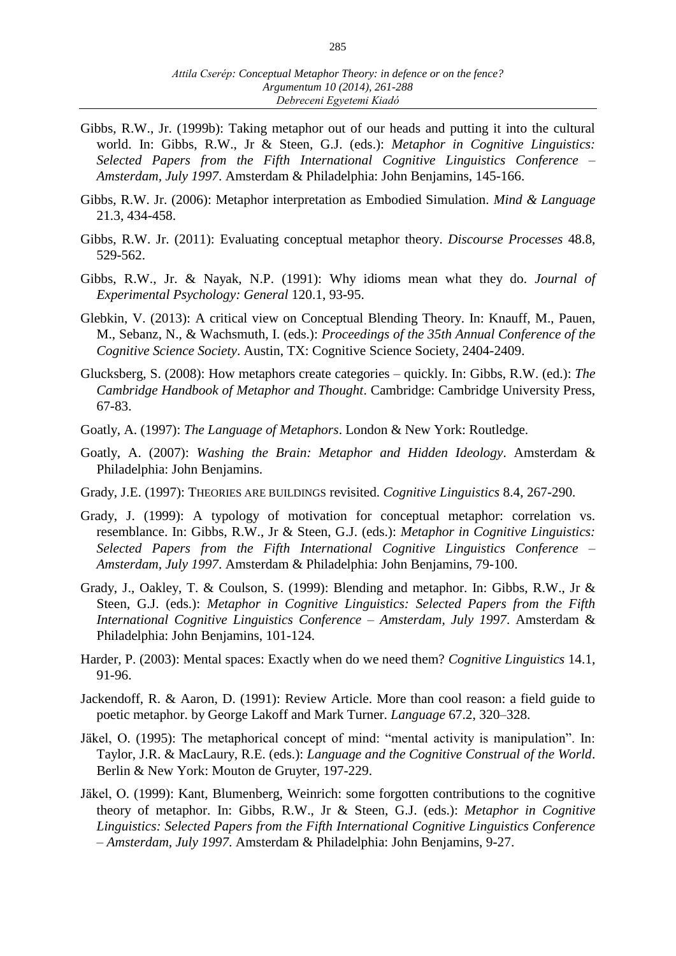- Gibbs, R.W., Jr. (1999b): Taking metaphor out of our heads and putting it into the cultural world. In: Gibbs, R.W., Jr & Steen, G.J. (eds.): *Metaphor in Cognitive Linguistics: Selected Papers from the Fifth International Cognitive Linguistics Conference – Amsterdam, July 1997*. Amsterdam & Philadelphia: John Benjamins, 145-166.
- Gibbs, R.W. Jr. (2006): Metaphor interpretation as Embodied Simulation. *Mind & Language* 21.3, 434-458.
- Gibbs, R.W. Jr. (2011): Evaluating conceptual metaphor theory. *Discourse Processes* 48.8, 529-562.
- Gibbs, R.W., Jr. & Nayak, N.P. (1991): Why idioms mean what they do. *Journal of Experimental Psychology: General* 120.1, 93-95.
- Glebkin, V. (2013): A critical view on Conceptual Blending Theory. In: Knauff, M., Pauen, M., Sebanz, N., & Wachsmuth, I. (eds.): *Proceedings of the 35th Annual Conference of the Cognitive Science Society*. Austin, TX: Cognitive Science Society, 2404-2409.
- Glucksberg, S. (2008): How metaphors create categories quickly. In: Gibbs, R.W. (ed.): *The Cambridge Handbook of Metaphor and Thought*. Cambridge: Cambridge University Press, 67-83.
- Goatly, A. (1997): *The Language of Metaphors*. London & New York: Routledge.
- Goatly, A. (2007): *Washing the Brain: Metaphor and Hidden Ideology*. Amsterdam & Philadelphia: John Benjamins.
- Grady, J.E. (1997): THEORIES ARE BUILDINGS revisited. *Cognitive Linguistics* 8.4, 267-290.
- Grady, J. (1999): A typology of motivation for conceptual metaphor: correlation vs. resemblance. In: Gibbs, R.W., Jr & Steen, G.J. (eds.): *Metaphor in Cognitive Linguistics: Selected Papers from the Fifth International Cognitive Linguistics Conference – Amsterdam, July 1997*. Amsterdam & Philadelphia: John Benjamins, 79-100.
- Grady, J., Oakley, T. & Coulson, S. (1999): Blending and metaphor. In: Gibbs, R.W., Jr & Steen, G.J. (eds.): *Metaphor in Cognitive Linguistics: Selected Papers from the Fifth International Cognitive Linguistics Conference – Amsterdam, July 1997*. Amsterdam & Philadelphia: John Benjamins, 101-124.
- Harder, P. (2003): Mental spaces: Exactly when do we need them? *Cognitive Linguistics* 14.1, 91-96.
- Jackendoff, R. & Aaron, D. (1991): Review Article. More than cool reason: a field guide to poetic metaphor. by George Lakoff and Mark Turner. *Language* 67.2, 320–328.
- Jäkel, O. (1995): The metaphorical concept of mind: "mental activity is manipulation". In: Taylor, J.R. & MacLaury, R.E. (eds.): *Language and the Cognitive Construal of the World*. Berlin & New York: Mouton de Gruyter, 197-229.
- Jäkel, O. (1999): Kant, Blumenberg, Weinrich: some forgotten contributions to the cognitive theory of metaphor. In: Gibbs, R.W., Jr & Steen, G.J. (eds.): *Metaphor in Cognitive Linguistics: Selected Papers from the Fifth International Cognitive Linguistics Conference – Amsterdam, July 1997*. Amsterdam & Philadelphia: John Benjamins, 9-27.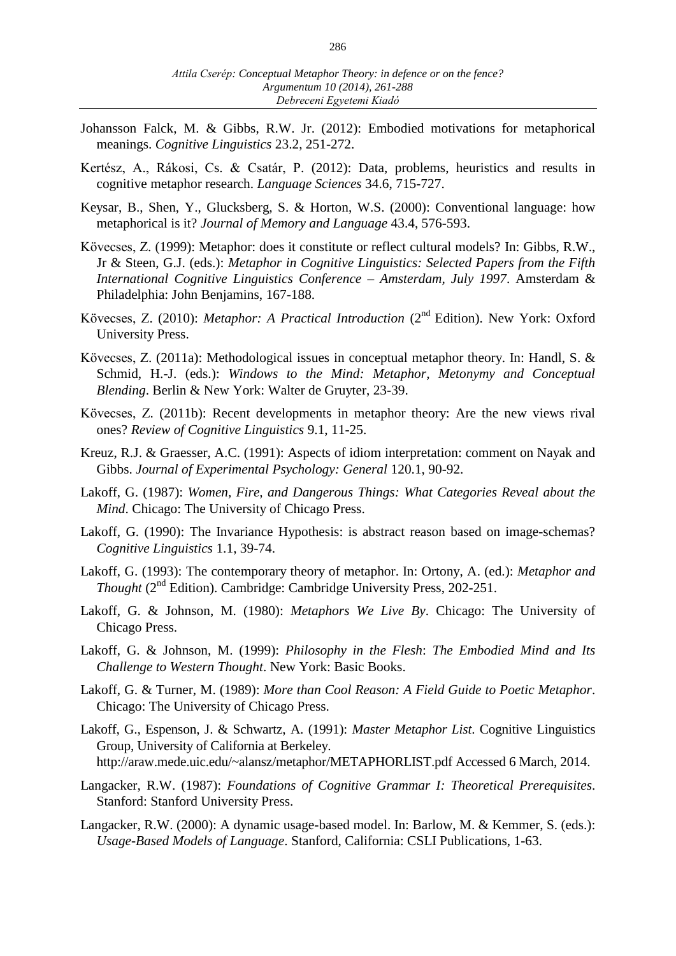- Johansson Falck, M. & Gibbs, R.W. Jr. (2012): Embodied motivations for metaphorical meanings. *Cognitive Linguistics* 23.2, 251-272.
- Kertész, A., Rákosi, Cs. & Csatár, P. (2012): Data, problems, heuristics and results in cognitive metaphor research. *Language Sciences* 34.6, 715-727.
- Keysar, B., Shen, Y., Glucksberg, S. & Horton, W.S. (2000): Conventional language: how metaphorical is it? *Journal of Memory and Language* 43.4, 576-593.
- Kövecses, Z. (1999): Metaphor: does it constitute or reflect cultural models? In: Gibbs, R.W., Jr & Steen, G.J. (eds.): *Metaphor in Cognitive Linguistics: Selected Papers from the Fifth International Cognitive Linguistics Conference – Amsterdam, July 1997*. Amsterdam & Philadelphia: John Benjamins, 167-188.
- Kövecses, Z. (2010): *Metaphor: A Practical Introduction* (2nd Edition). New York: Oxford University Press.
- Kövecses, Z. (2011a): Methodological issues in conceptual metaphor theory. In: Handl, S. & Schmid, H.-J. (eds.): *Windows to the Mind: Metaphor, Metonymy and Conceptual Blending*. Berlin & New York: Walter de Gruyter, 23-39.
- Kövecses, Z. (2011b): Recent developments in metaphor theory: Are the new views rival ones? *Review of Cognitive Linguistics* 9.1, 11-25.
- Kreuz, R.J. & Graesser, A.C. (1991): Aspects of idiom interpretation: comment on Nayak and Gibbs. *Journal of Experimental Psychology: General* 120.1, 90-92.
- Lakoff, G. (1987): *Women, Fire, and Dangerous Things: What Categories Reveal about the Mind*. Chicago: The University of Chicago Press.
- Lakoff, G. (1990): The Invariance Hypothesis: is abstract reason based on image-schemas? *Cognitive Linguistics* 1.1, 39-74.
- Lakoff, G. (1993): The contemporary theory of metaphor. In: Ortony, A. (ed.): *Metaphor and Thought* (2nd Edition). Cambridge: Cambridge University Press, 202-251.
- Lakoff, G. & Johnson, M. (1980): *Metaphors We Live By*. Chicago: The University of Chicago Press.
- Lakoff, G. & Johnson, M. (1999): *Philosophy in the Flesh*: *The Embodied Mind and Its Challenge to Western Thought*. New York: Basic Books.
- Lakoff, G. & Turner, M. (1989): *More than Cool Reason: A Field Guide to Poetic Metaphor*. Chicago: The University of Chicago Press.
- Lakoff, G., Espenson, J. & Schwartz, A. (1991): *Master Metaphor List*. Cognitive Linguistics Group, University of California at Berkeley. http://araw.mede.uic.edu/~alansz/metaphor/METAPHORLIST.pdf Accessed 6 March, 2014.
- Langacker, R.W. (1987): *Foundations of Cognitive Grammar I: Theoretical Prerequisites*. Stanford: Stanford University Press.
- Langacker, R.W. (2000): A dynamic usage-based model. In: Barlow, M. & Kemmer, S. (eds.): *Usage-Based Models of Language*. Stanford, California: CSLI Publications, 1-63.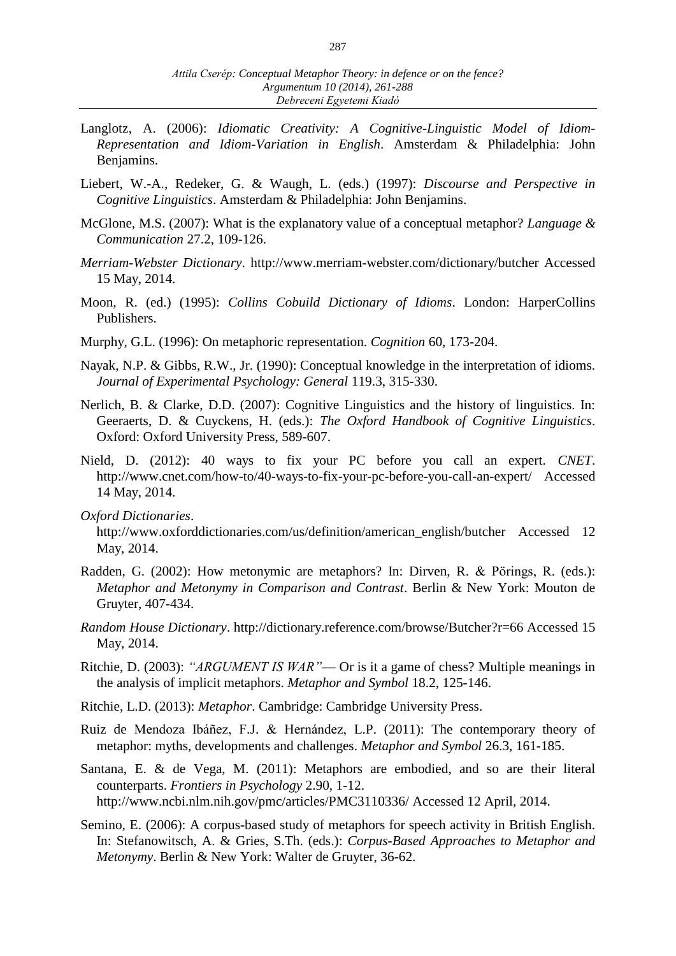- Langlotz, A. (2006): *Idiomatic Creativity: A Cognitive-Linguistic Model of Idiom-Representation and Idiom-Variation in English*. Amsterdam & Philadelphia: John Benjamins.
- Liebert, W.-A., Redeker, G. & Waugh, L. (eds.) (1997): *Discourse and Perspective in Cognitive Linguistics*. Amsterdam & Philadelphia: John Benjamins.
- McGlone, M.S. (2007): What is the explanatory value of a conceptual metaphor? *Language & Communication* 27.2, 109-126.
- *Merriam-Webster Dictionary*. http://www.merriam-webster.com/dictionary/butcher Accessed 15 May, 2014.
- Moon, R. (ed.) (1995): *Collins Cobuild Dictionary of Idioms*. London: HarperCollins Publishers.
- Murphy, G.L. (1996): On metaphoric representation. *Cognition* 60, 173-204.
- Nayak, N.P. & Gibbs, R.W., Jr. (1990): Conceptual knowledge in the interpretation of idioms. *Journal of Experimental Psychology: General* 119.3, 315-330.
- Nerlich, B. & Clarke, D.D. (2007): Cognitive Linguistics and the history of linguistics. In: Geeraerts, D. & Cuyckens, H. (eds.): *The Oxford Handbook of Cognitive Linguistics*. Oxford: Oxford University Press, 589-607.
- Nield, D. (2012): 40 ways to fix your PC before you call an expert. *CNET*. http://www.cnet.com/how-to/40-ways-to-fix-your-pc-before-you-call-an-expert/ Accessed 14 May, 2014.
- *Oxford Dictionaries*.

http://www.oxforddictionaries.com/us/definition/american\_english/butcher Accessed 12 May, 2014.

- Radden, G. (2002): How metonymic are metaphors? In: Dirven, R. & Pörings, R. (eds.): *Metaphor and Metonymy in Comparison and Contrast*. Berlin & New York: Mouton de Gruyter, 407-434.
- *Random House Dictionary*. http://dictionary.reference.com/browse/Butcher?r=66 Accessed 15 May, 2014.
- Ritchie, D. (2003): *"ARGUMENT IS WAR"* Or is it a game of chess? Multiple meanings in the analysis of implicit metaphors. *Metaphor and Symbol* 18.2, 125-146.
- Ritchie, L.D. (2013): *Metaphor*. Cambridge: Cambridge University Press.
- Ruiz de Mendoza Ibáñez, F.J. & Hernández, L.P. (2011): The contemporary theory of metaphor: myths, developments and challenges. *Metaphor and Symbol* 26.3, 161-185.
- Santana, E. & de Vega, M. (2011): Metaphors are embodied, and so are their literal counterparts. *Frontiers in Psychology* 2.90, 1-12. http://www.ncbi.nlm.nih.gov/pmc/articles/PMC3110336/ Accessed 12 April, 2014.
- Semino, E. (2006): A corpus-based study of metaphors for speech activity in British English. In: Stefanowitsch, A. & Gries, S.Th. (eds.): *Corpus-Based Approaches to Metaphor and Metonymy*. Berlin & New York: Walter de Gruyter, 36-62.